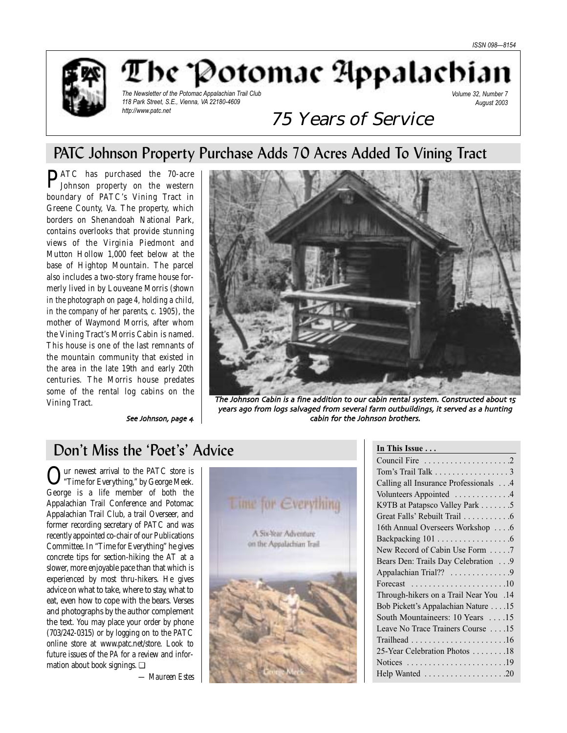

The 'Potomac Appalachi.

*The Newsletter of the Potomac Appalachian Trail Club 118 Park Street, S.E., Vienna, VA 22180-4609 http://www.patc.net*

*Volume 32, Number 7 August 2003*

# 75 Years of Service

# PATC Johnson Property Purchase Adds 70 Acres Added To Vining Tract

**PATC** has purchased the 70-acre Johnson property on the western boundary of PATC's Vining Tract in Greene County, Va. The property, which borders on Shenandoah National Park, contains overlooks that provide stunning views of the Virginia Piedmont and Mutton Hollow 1,000 feet below at the base of Hightop Mountain. The parcel also includes a two-story frame house formerly lived in by Louveane Morris (*shown in the photograph on page 4, holding a child, in the company of her parents, c. 1905*), the mother of Waymond Morris, after whom the Vining Tract's Morris Cabin is named. This house is one of the last remnants of the mountain community that existed in the area in the late 19th and early 20th centuries. The Morris house predates some of the rental log cabins on the Vining Tract.

See Johnson, page 4



The Johnson Cabin is a fine addition to our cabin rental system. Constructed about 15 years ago from logs salvaged from several farm outbuildings, it served as a hunting cabin for the Johnson brothers

# Don't Miss the 'Poet's' Advice

Our newest arrival to the PATC store is<br>"Time for Everything," by George Meek. George is a life member of both the Appalachian Trail Conference and Potomac Appalachian Trail Club, a trail Overseer, and former recording secretary of PATC and was recently appointed co-chair of our Publications Committee. In "Time for Everything" he gives concrete tips for section-hiking the AT at a slower, more enjoyable pace than that which is experienced by most thru-hikers. He gives advice on what to take, where to stay, what to eat, even how to cope with the bears. Verses and photographs by the author complement the text. You may place your order by phone (703/242-0315) or by logging on to the PATC online store at www.patc.net/store. Look to future issues of the *PA* for a review and information about book signings. ❏

*— Maureen Estes*



| In This Issue                                                      |
|--------------------------------------------------------------------|
| Council Fire $\dots \dots \dots \dots \dots \dots \dots$           |
| Tom's Trail Talk 3                                                 |
| Calling all Insurance Professionals 4                              |
| Volunteers Appointed 4                                             |
| K9TB at Patapsco Valley Park 5                                     |
| Great Falls' Rebuilt Trail 6                                       |
| 16th Annual Overseers Workshop 6                                   |
|                                                                    |
| New Record of Cabin Use Form 7                                     |
| Bears Den: Trails Day Celebration 9                                |
| Appalachian Trial?? 9                                              |
| Forecast $\ldots \ldots \ldots \ldots \ldots \ldots \ldots 10$     |
| 14. Through-hikers on a Trail Near You                             |
| Bob Pickett's Appalachian Nature 15                                |
| South Mountaineers: 10 Years 15                                    |
| Leave No Trace Trainers Course 15                                  |
|                                                                    |
| 25-Year Celebration Photos 18                                      |
| Notices $\dots \dots \dots \dots \dots \dots \dots \dots \dots$ 19 |
| Help Wanted 20                                                     |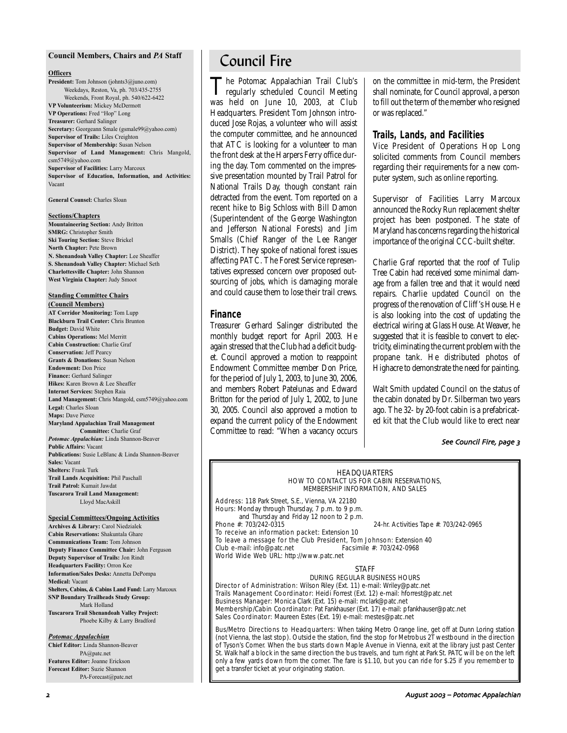#### **Council Members, Chairs and** *PA* **Staff**

#### **Officers**

**President:** Tom Johnson (johnts3@juno.com) Weekdays, Reston, Va, ph. 703/435-2755 Weekends, Front Royal, ph. 540/622-6422 **VP Volunteerism:** Mickey McDermott **VP Operations:** Fred "Hop" Long **Treasurer:** Gerhard Salinger **Secretary:** Georgeann Smale (gsmale99@yahoo.com) **Supervisor of Trails:** Liles Creighton **Supervisor of Membership:** Susan Nelson **Supervisor of Land Management:** Chris Mangold, csm5749@yahoo.com **Supervisor of Facilities:** Larry Marcoux **Supervisor of Education, Information, and Activities:** Vacant

**General Counsel:** Charles Sloan

#### **Sections/Chapters**

**Mountaineering Section:** Andy Britton **SMRG:** Christopher Smith **Ski Touring Section:** Steve Brickel **North Chapter:** Pete Brown **N. Shenandoah Valley Chapter:** Lee Sheaffer **S. Shenandoah Valley Chapter:** Michael Seth **Charlottesville Chapter:** John Shannon **West Virginia Chapter:** Judy Smoot

#### **Standing Committee Chairs**

**(Council Members) AT Corridor Monitoring:** Tom Lupp **Blackburn Trail Center:** Chris Brunton **Budget:** David White **Cabins Operations:** Mel Merritt **Cabin Construction:** Charlie Graf **Conservation:** Jeff Pearcy **Grants & Donations:** Susan Nelson **Endowment:** Don Price **Finance:** Gerhard Salinger **Hikes:** Karen Brown & Lee Sheaffer **Internet Services:** Stephen Raia **Land Management:** Chris Mangold, csm5749@yahoo.com **Legal:** Charles Sloan **Maps:** Dave Pierce **Maryland Appalachian Trail Management Committee:** Charlie Graf *Potomac Appalachian:* Linda Shannon-Beaver **Public Affairs:** Vacant **Publications:** Susie LeBlanc & Linda Shannon-Beaver **Sales:** Vacant **Shelters:** Frank Turk **Trail Lands Acquisition:** Phil Paschall **Trail Patrol:** Kumait Jawdat **Tuscarora Trail Land Management:** Lloyd MacAskill

#### **Special Committees/Ongoing Activities**

**Archives & Library:** Carol Niedzialek **Cabin Reservations:** Shakuntala Ghare **Communications Team:** Tom Johnson **Deputy Finance Committee Chair:** John Ferguson **Deputy Supervisor of Trails:** Jon Rindt **Headquarters Facility:** Orron Kee **Information/Sales Desks:** Annetta DePompa **Medical:** Vacant **Shelters, Cabins, & Cabins Land Fund:** Larry Marcoux **SNP Boundary Trailheads Study Group:** Mark Holland **Tuscarora Trail Shenandoah Valley Project:** Phoebe Kilby & Larry Bradford

#### *Potomac Appalachian*

**Chief Editor:** Linda Shannon-Beaver PA@patc.net **Features Editor:** Joanne Erickson **Forecast Editor:** Suzie Shannon PA-Forecast@patc.net

# Council Fire

The Potomac Appalachian Trail Club's<br>regularly scheduled Council Meeting<br>regularly scheduled Council Meeting was held on June 10, 2003, at Club Headquarters. President Tom Johnson introduced Jose Rojas, a volunteer who will assist the computer committee, and he announced that ATC is looking for a volunteer to man the front desk at the Harpers Ferry office during the day. Tom commented on the impressive presentation mounted by Trail Patrol for National Trails Day, though constant rain detracted from the event. Tom reported on a recent hike to Big Schloss with Bill Damon (Superintendent of the George Washington and Jefferson National Forests) and Jim Smalls (Chief Ranger of the Lee Ranger District). They spoke of national forest issues affecting PATC. The Forest Service representatives expressed concern over proposed outsourcing of jobs, which is damaging morale and could cause them to lose their trail crews.

### **Finance**

Treasurer Gerhard Salinger distributed the monthly budget report for April 2003. He again stressed that the Club had a deficit budget. Council approved a motion to reappoint Endowment Committee member Don Price, for the period of July 1, 2003, to June 30, 2006, and members Robert Patelunas and Edward Britton for the period of July 1, 2002, to June 30, 2005. Council also approved a motion to expand the current policy of the Endowment Committee to read: "When a vacancy occurs on the committee in mid-term, the President shall nominate, for Council approval, a person to fill out the term of the member who resigned or was replaced."

### **Trails, Lands, and Facilities**

Vice President of Operations Hop Long solicited comments from Council members regarding their requirements for a new computer system, such as online reporting.

Supervisor of Facilities Larry Marcoux announced the Rocky Run replacement shelter project has been postponed. The state of Maryland has concerns regarding the historical importance of the original CCC-built shelter.

Charlie Graf reported that the roof of Tulip Tree Cabin had received some minimal damage from a fallen tree and that it would need repairs. Charlie updated Council on the progress of the renovation of Cliff 's House. He is also looking into the cost of updating the electrical wiring at Glass House. At Weaver, he suggested that it is feasible to convert to electricity, eliminating the current problem with the propane tank. He distributed photos of Highacre to demonstrate the need for painting.

Walt Smith updated Council on the status of the cabin donated by Dr. Silberman two years ago. The 32- by 20-foot cabin is a prefabricated kit that the Club would like to erect near

### See Council Fire, page 3

#### HEADQUARTERS HOW TO CONTACT US FOR CABIN RESERVATIONS, MEMBERSHIP INFORMATION, AND SALES

Address: 118 Park Street, S.E., Vienna, VA 22180 Hours: Monday through Thursday, 7 p.m. to 9 p.m. and Thursday and Friday 12 noon to 2 p.m.<br>Phone #: 703/242-0315

To receive an information packet: Extension 10

24-hr. Activities Tape #: 703/242-0965

To leave a message for the Club President, Tom Johnson: Extension 40<br>Club e-mail: info@patc.net Facsimile #: 703/242-0968 Club e-mail: info@patc.net World Wide Web URL: http://www.patc.net

#### STAFF

### DURING REGULAR BUSINESS HOURS

Director of Administration: Wilson Riley (Ext. 11) e-mail: Wriley@patc.net Trails Management Coordinator: Heidi Forrest (Ext. 12) e-mail: hforrest@patc.net Business Manager: Monica Clark (Ext. 15) e-mail: mclark@patc.net Membership/Cabin Coordinator: Pat Fankhauser (Ext. 17) e-mail: pfankhauser@patc.net Sales Coordinator: Maureen Estes (Ext. 19) e-mail: mestes@patc.net

Bus/Metro Directions to Headquarters: When taking Metro Orange line, get off at Dunn Loring station (not Vienna, the last stop). Outside the station, find the stop for Metrobus 2T westbound in the direction of Tyson's Corner. When the bus starts down Maple Avenue in Vienna, exit at the library just past Center St. Walk half a block in the same direction the bus travels, and turn right at Park St. PATC will be on the left only a few yards down from the corner. The fare is \$1.10, but you can ride for \$.25 if you remember to get a transfer ticket at your originating station.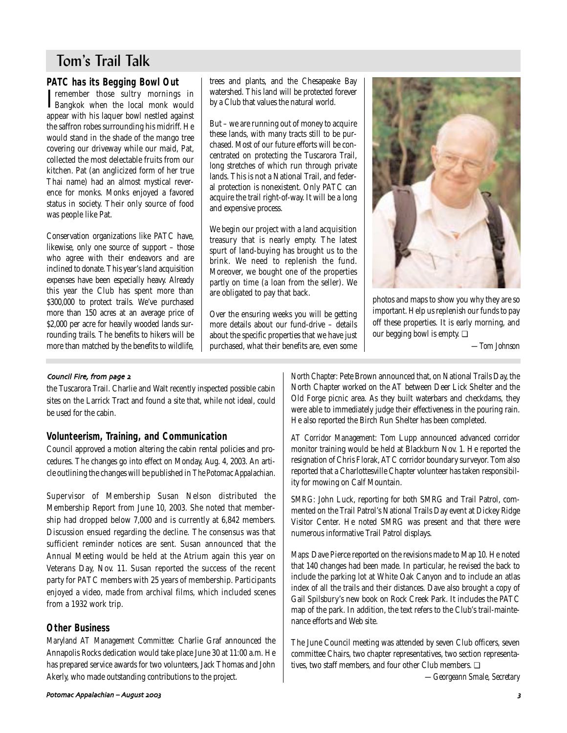# Tom's Trail Talk

# **PATC has its Begging Bowl Out**

**T**remember those sultry mornings in<br>Bangkok when the local monk would Tremember those sultry mornings in appear with his laquer bowl nestled against the saffron robes surrounding his midriff. He would stand in the shade of the mango tree covering our driveway while our maid, Pat, collected the most delectable fruits from our kitchen. Pat (an anglicized form of her true Thai name) had an almost mystical reverence for monks. Monks enjoyed a favored status in society. Their only source of food was people like Pat.

Conservation organizations like PATC have, likewise, only one source of support – those who agree with their endeavors and are inclined to donate. This year's land acquisition expenses have been especially heavy. Already this year the Club has spent more than \$300,000 to protect trails. We've purchased more than 150 acres at an average price of \$2,000 per acre for heavily wooded lands surrounding trails. The benefits to hikers will be more than matched by the benefits to wildlife, trees and plants, and the Chesapeake Bay watershed. This land will be protected forever by a Club that values the natural world.

But – we are running out of money to acquire these lands, with many tracts still to be purchased. Most of our future efforts will be concentrated on protecting the Tuscarora Trail, long stretches of which run through private lands. This is not a National Trail, and federal protection is nonexistent. Only PATC can acquire the trail right-of-way. It will be a long and expensive process.

We begin our project with a land acquisition treasury that is nearly empty. The latest spurt of land-buying has brought us to the brink. We need to replenish the fund. Moreover, we bought one of the properties partly on time (a loan from the seller). We are obligated to pay that back.

Over the ensuring weeks you will be getting more details about our fund-drive – details about the specific properties that we have just purchased, what their benefits are, even some



photos and maps to show you why they are so important. Help us replenish our funds to pay off these properties. It is early morning, and our begging bowl is empty. ❏

*—Tom Johnson*

### Council Fire, from page 2

the Tuscarora Trail. Charlie and Walt recently inspected possible cabin sites on the Larrick Tract and found a site that, while not ideal, could be used for the cabin.

# **Volunteerism, Training, and Communication**

Council approved a motion altering the cabin rental policies and procedures. The changes go into effect on Monday, Aug. 4, 2003. An article outlining the changes will be published in *The Potomac Appalachian.*

Supervisor of Membership Susan Nelson distributed the Membership Report from June 10, 2003. She noted that membership had dropped below 7,000 and is currently at 6,842 members. Discussion ensued regarding the decline. The consensus was that sufficient reminder notices are sent. Susan announced that the Annual Meeting would be held at the Atrium again this year on Veterans Day, Nov. 11. Susan reported the success of the recent party for PATC members with 25 years of membership. Participants enjoyed a video, made from archival films, which included scenes from a 1932 work trip.

# **Other Business**

*Maryland AT Management Committee:* Charlie Graf announced the Annapolis Rocks dedication would take place June 30 at 11:00 a.m. He has prepared service awards for two volunteers, Jack Thomas and John Akerly, who made outstanding contributions to the project.

*North Chapter:* Pete Brown announced that, on National Trails Day, the North Chapter worked on the AT between Deer Lick Shelter and the Old Forge picnic area. As they built waterbars and checkdams, they were able to immediately judge their effectiveness in the pouring rain. He also reported the Birch Run Shelter has been completed.

*AT Corridor Management:* Tom Lupp announced advanced corridor monitor training would be held at Blackburn Nov. 1. He reported the resignation of Chris Florak, ATC corridor boundary surveyor. Tom also reported that a Charlottesville Chapter volunteer has taken responsibility for mowing on Calf Mountain.

*SMRG:* John Luck, reporting for both SMRG and Trail Patrol, commented on the Trail Patrol's National Trails Day event at Dickey Ridge Visitor Center. He noted SMRG was present and that there were numerous informative Trail Patrol displays.

*Maps:* Dave Pierce reported on the revisions made to Map 10. He noted that 140 changes had been made. In particular, he revised the back to include the parking lot at White Oak Canyon and to include an atlas index of all the trails and their distances. Dave also brought a copy of Gail Spilsbury's new book on Rock Creek Park. It includes the PATC map of the park. In addition, the text refers to the Club's trail-maintenance efforts and Web site.

The June Council meeting was attended by seven Club officers, seven committee Chairs, two chapter representatives, two section representatives, two staff members, and four other Club members. ❏

*—Georgeann Smale, Secretary*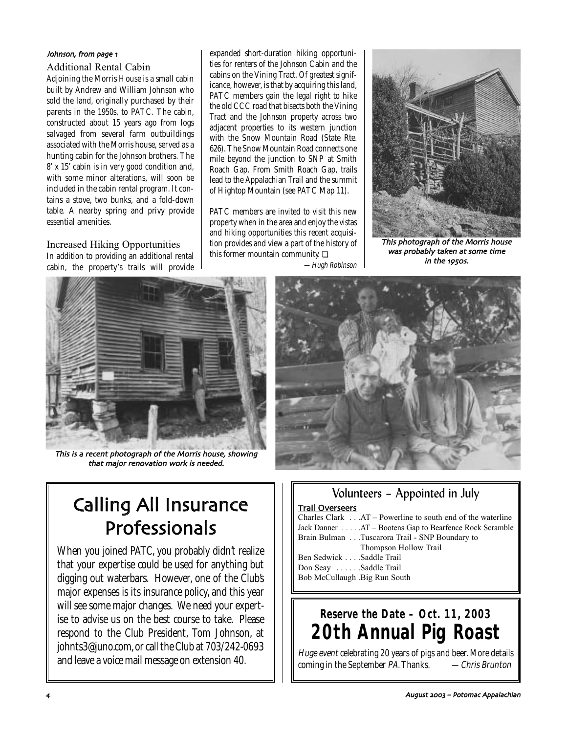# Johnson, from page 1

Additional Rental Cabin

Adjoining the Morris House is a small cabin built by Andrew and William Johnson who sold the land, originally purchased by their parents in the 1950s, to PATC. The cabin, constructed about 15 years ago from logs salvaged from several farm outbuildings associated with the Morris house, served as a hunting cabin for the Johnson brothers. The 8' x 15' cabin is in very good condition and, with some minor alterations, will soon be included in the cabin rental program. It contains a stove, two bunks, and a fold-down table. A nearby spring and privy provide essential amenities.

Increased Hiking Opportunities In addition to providing an additional rental cabin, the property's trails will provide expanded short-duration hiking opportunities for renters of the Johnson Cabin and the cabins on the Vining Tract. Of greatest significance, however, is that by acquiring this land, PATC members gain the legal right to hike the old CCC road that bisects both the Vining Tract and the Johnson property across two adjacent properties to its western junction with the Snow Mountain Road (State Rte. 626). The Snow Mountain Road connects one mile beyond the junction to SNP at Smith Roach Gap. From Smith Roach Gap, trails lead to the Appalachian Trail and the summit of Hightop Mountain (see PATC Map 11).

PATC members are invited to visit this new property when in the area and enjoy the vistas and hiking opportunities this recent acquisition provides and view a part of the history of this former mountain community. ❏ —Hugh Robinson



This photograph of the Morris house was probably taken at some time in the 1950s.



This is a recent photograph of the Morris house, showing that major renovation work is needed



# Calling All Insurance Professionals

When you joined PATC, you probably didn't realize that your expertise could be used for anything but digging out waterbars. However, one of the Club's major expenses is its insurance policy, and this year will see some major changes. We need your expertise to advise us on the best course to take. Please respond to the Club President, Tom Johnson, at johnts3@juno.com, or call the Club at 703/242-0693 and leave a voice mail message on extension 40.

# Trail Overseers Charles Clark . . .AT – Powerline to south end of the waterline Jack Danner . . . . .AT – Bootens Gap to Bearfence Rock Scramble Brain Bulman . . .Tuscarora Trail - SNP Boundary to Thompson Hollow Trail Ben Sedwick . . . .Saddle Trail Don Seay . . . . . . Saddle Trail Bob McCullaugh .Big Run South

Volunteers – Appointed in July

# **Reserve the Date – Oct. 11, 2003 20th Annual Pig Roast**

Huge event celebrating 20 years of pigs and beer. More details coming in the September PA. Thanks. - - Chris Brunton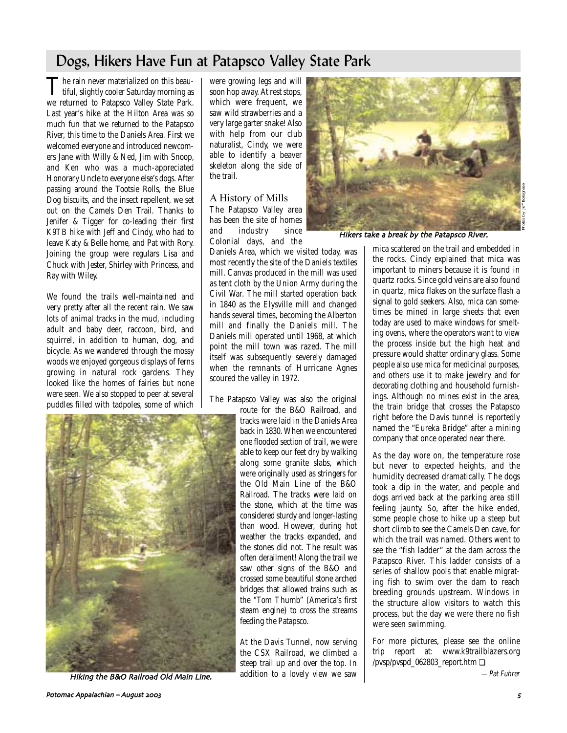# Dogs, Hikers Have Fun at Patapsco Valley State Park

The rain never materialized on this beau-<br>tiful, slightly cooler Saturday morning as we returned to Patapsco Valley State Park. Last year's hike at the Hilton Area was so much fun that we returned to the Patapsco River, this time to the Daniels Area. First we welcomed everyone and introduced newcomers Jane with Willy & Ned, Jim with Snoop, and Ken who was a much-appreciated Honorary Uncle to everyone else's dogs. After passing around the Tootsie Rolls, the Blue Dog biscuits, and the insect repellent, we set out on the Camels Den Trail. Thanks to Jenifer & Tigger for co-leading their first K9TB hike with Jeff and Cindy, who had to leave Katy & Belle home, and Pat with Rory. Joining the group were regulars Lisa and Chuck with Jester, Shirley with Princess, and Ray with Wiley.

We found the trails well-maintained and very pretty after all the recent rain. We saw lots of animal tracks in the mud, including adult and baby deer, raccoon, bird, and squirrel, in addition to human, dog, and bicycle. As we wandered through the mossy woods we enjoyed gorgeous displays of ferns growing in natural rock gardens. They looked like the homes of fairies but none were seen. We also stopped to peer at several puddles filled with tadpoles, some of which



Hiking the B&O Railroad Old Main Line

were growing legs and will soon hop away. At rest stops, which were frequent, we saw wild strawberries and a very large garter snake! Also with help from our club naturalist, Cindy, we were able to identify a beaver skeleton along the side of the trail.

# A History of Mills

The Patapsco Valley area has been the site of homes and industry since Colonial days, and the

Daniels Area, which we visited today, was most recently the site of the Daniels textiles mill. Canvas produced in the mill was used as tent cloth by the Union Army during the Civil War. The mill started operation back in 1840 as the Elysville mill and changed hands several times, becoming the Alberton mill and finally the Daniels mill. The Daniels mill operated until 1968, at which point the mill town was razed. The mill itself was subsequently severely damaged when the remnants of Hurricane Agnes scoured the valley in 1972.

The Patapsco Valley was also the original

route for the B&O Railroad, and tracks were laid in the Daniels Area back in 1830. When we encountered one flooded section of trail, we were able to keep our feet dry by walking along some granite slabs, which were originally used as stringers for the Old Main Line of the B&O Railroad. The tracks were laid on the stone, which at the time was considered sturdy and longer-lasting than wood. However, during hot weather the tracks expanded, and the stones did not. The result was often derailment! Along the trail we saw other signs of the B&O and crossed some beautiful stone arched bridges that allowed trains such as the "Tom Thumb" (America's first steam engine) to cross the streams feeding the Patapsco.

At the Davis Tunnel, now serving the CSX Railroad, we climbed a steep trail up and over the top. In addition to a lovely view we saw



Hikers take a break by the Patapsco River

mica scattered on the trail and embedded in the rocks. Cindy explained that mica was important to miners because it is found in quartz rocks. Since gold veins are also found in quartz, mica flakes on the surface flash a signal to gold seekers. Also, mica can sometimes be mined in large sheets that even today are used to make windows for smelting ovens, where the operators want to view the process inside but the high heat and pressure would shatter ordinary glass. Some people also use mica for medicinal purposes, and others use it to make jewelry and for decorating clothing and household furnishings. Although no mines exist in the area, the train bridge that crosses the Patapsco right before the Davis tunnel is reportedly named the "Eureka Bridge" after a mining company that once operated near there.

As the day wore on, the temperature rose but never to expected heights, and the humidity decreased dramatically. The dogs took a dip in the water, and people and dogs arrived back at the parking area still feeling jaunty. So, after the hike ended, some people chose to hike up a steep but short climb to see the Camels Den cave, for which the trail was named. Others went to see the "fish ladder" at the dam across the Patapsco River. This ladder consists of a series of shallow pools that enable migrating fish to swim over the dam to reach breeding grounds upstream. Windows in the structure allow visitors to watch this process, but the day we were there no fish were seen swimming.

For more pictures, please see the online trip report at: www.k9trailblazers.org /pvsp/pvspd\_062803\_report.htm ❏

—Pat Fuhrer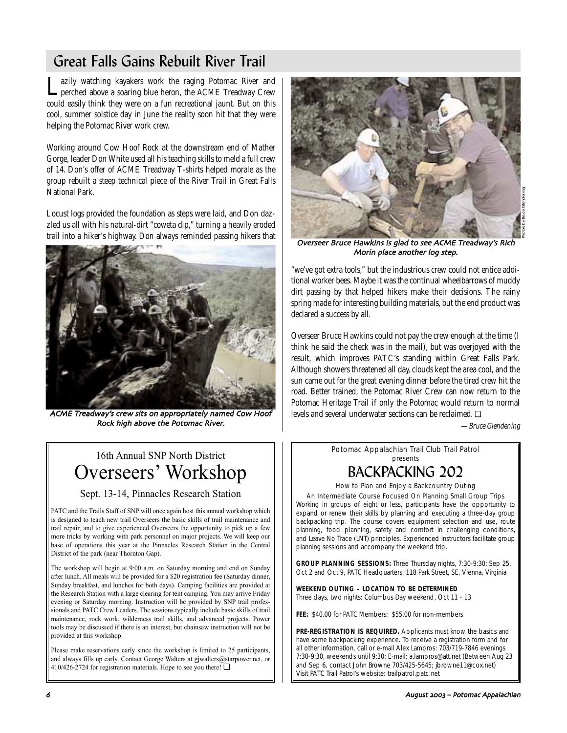# Great Falls Gains Rebuilt River Trail

Lazily watching kayakers work the raging Potomac River and perched above a soaring blue heron, the ACME Treadway Crew could easily think they were on a fun recreational jaunt. But on this cool, summer solstice day in June the reality soon hit that they were helping the Potomac River work crew.

Working around Cow Hoof Rock at the downstream end of Mather Gorge, leader Don White used all his teaching skills to meld a full crew of 14. Don's offer of ACME Treadway T-shirts helped morale as the group rebuilt a steep technical piece of the River Trail in Great Falls National Park.

Locust logs provided the foundation as steps were laid, and Don dazzled us all with his natural-dirt "coweta dip," turning a heavily eroded trail into a hiker's highway. Don always reminded passing hikers that



ACME Treadway's crew sits on appropriately named Cow Hoof Rock high above the Potomac River

# 16th Annual SNP North District Overseers' Workshop

Sept. 13-14, Pinnacles Research Station

PATC and the Trails Staff of SNP will once again host this annual workshop which is designed to teach new trail Overseers the basic skills of trail maintenance and trail repair, and to give experienced Overseers the opportunity to pick up a few more tricks by working with park personnel on major projects. We will keep our base of operations this year at the Pinnacles Research Station in the Central District of the park (near Thornton Gap).

The workshop will begin at 9:00 a.m. on Saturday morning and end on Sunday after lunch. All meals will be provided for a \$20 registration fee (Saturday dinner, Sunday breakfast, and lunches for both days). Camping facilities are provided at the Research Station with a large clearing for tent camping. You may arrive Friday evening or Saturday morning. Instruction will be provided by SNP trail professionals and PATC Crew Leaders. The sessions typically include basic skills of trail maintenance, rock work, wilderness trail skills, and advanced projects. Power tools may be discussed if there is an interest, but chainsaw instruction will not be provided at this workshop.

Please make reservations early since the workshop is limited to 25 participants, and always fills up early. Contact George Walters at gjwalters@starpower.net, or 410/426-2724 for registration materials. Hope to see you there! ❏



Overseer Bruce Hawkins is glad to see ACME Treadway's Rich Morin place another log step

"we've got extra tools," but the industrious crew could not entice additional worker bees. Maybe it was the continual wheelbarrows of muddy dirt passing by that helped hikers make their decisions. The rainy spring made for interesting building materials, but the end product was declared a success by all.

Overseer Bruce Hawkins could not pay the crew enough at the time (I think he said the check was in the mail), but was overjoyed with the result, which improves PATC's standing within Great Falls Park. Although showers threatened all day, clouds kept the area cool, and the sun came out for the great evening dinner before the tired crew hit the road. Better trained, the Potomac River Crew can now return to the Potomac Heritage Trail if only the Potomac would return to normal levels and several underwater sections can be reclaimed. ❏

—Bruce Glendening

Potomac Appalachian Trail Club Trail Patrol presents

# BACKPACKING 202

How to Plan and Enjoy a Backcountry Outing

An Intermediate Course Focused On Planning Small Group Trips Working in groups of eight or less, participants have the opportunity to expand or renew their skills by planning and executing a three-day group backpacking trip. The course covers equipment selection and use, route planning, food planning, safety and comfort in challenging conditions,

and Leave No Trace (LNT) principles. Experienced instructors facilitate group planning sessions and accompany the weekend trip. **GROUP PLANNING SESSIONS:** Three Thursday nights, 7:30-9:30: Sep 25,

Oct 2 and Oct 9, PATC Headquarters, 118 Park Street, SE, Vienna, Virginia

**WEEKEND OUTING – LOCATION TO BE DETERMINED** Three days, two nights: Columbus Day weekend, Oct 11 - 13

**FEE:** \$40.00 for PATC Members; \$55.00 for non-members

PRE-REGISTRATION IS REQUIRED. Applicants must know the basics and have some backpacking experience. To receive a registration form and for all other information, call or e-mail Alex Lampros: 703/719-7846 evenings 7:30-9:30, weekends until 9:30; E-mail: a.lampros@att.net (Between Aug 23 and Sep 6, contact John Browne 703/425-5645; jbrowne11@cox.net) Visit PATC Trail Patrol's website: trailpatrol.patc.net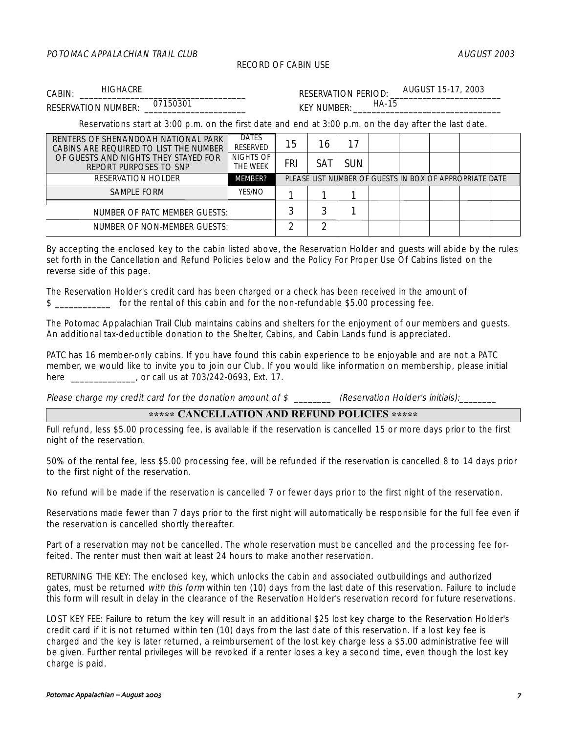# POTOMAC APPALACHIAN TRAIL CLUB AUGUST 2003 AUGUST 2003

### RECORD OF CABIN USE

CABIN: HIGHACRE EXAMPLE RESERVATION PERIOD: **HIGHACRE** 

AUGUST 15-17, 2003 HA-15

RESERVATION NUMBER:  $^{0/150301}$  KEY NUMBER: 07150301

Reservations start at 3:00 p.m. on the first date and end at 3:00 p.m. on the day after the last date.

| RENTERS OF SHENANDOAH NATIONAL PARK<br>CABINS ARE REQUIRED TO LIST THE NUMBER | <b>DATES</b><br><b>RESERVED</b> | 15                                                      | 16  | 17         |  |  |  |  |  |
|-------------------------------------------------------------------------------|---------------------------------|---------------------------------------------------------|-----|------------|--|--|--|--|--|
| OF GUESTS AND NIGHTS THEY STAYED FOR<br>REPORT PURPOSES TO SNP                | NIGHTS OF<br>THE WEEK           | FRI                                                     | SAT | <b>SUN</b> |  |  |  |  |  |
| <b>RESERVATION HOLDER</b>                                                     | <b>MEMBER?</b>                  | PLEASE LIST NUMBER OF GUESTS IN BOX OF APPROPRIATE DATE |     |            |  |  |  |  |  |
| <b>SAMPLE FORM</b>                                                            | <b>YES/NO</b>                   |                                                         |     |            |  |  |  |  |  |
| NUMBER OF PATC MEMBER GUESTS:                                                 |                                 |                                                         |     |            |  |  |  |  |  |
| NUMBER OF NON-MEMBER GUESTS:                                                  |                                 |                                                         | ົ   |            |  |  |  |  |  |

By accepting the enclosed key to the cabin listed above, the Reservation Holder and guests will abide by the rules set forth in the Cancellation and Refund Policies below and the Policy For Proper Use Of Cabins listed on the reverse side of this page.

The Reservation Holder's credit card has been charged or a check has been received in the amount of \$ for the rental of this cabin and for the non-refundable \$5.00 processing fee.

The Potomac Appalachian Trail Club maintains cabins and shelters for the enjoyment of our members and guests. An additional tax-deductible donation to the Shelter, Cabins, and Cabin Lands fund is appreciated.

PATC has 16 member-only cabins. If you have found this cabin experience to be enjoyable and are not a PATC member, we would like to invite you to join our Club. If you would like information on membership, please initial here \_\_\_\_\_\_\_\_\_\_\_\_\_, or call us at 703/242-0693, Ext. 17.

Please charge my credit card for the donation amount of \$ \_\_\_\_\_\_\_\_\_ (Reservation Holder's initials):

# **\*\*\*\*\* CANCELLATION AND REFUND POLICIES \*\*\*\*\***

Full refund, less \$5.00 processing fee, is available if the reservation is cancelled 15 or more days prior to the first night of the reservation.

50% of the rental fee, less \$5.00 processing fee, will be refunded if the reservation is cancelled 8 to 14 days prior to the first night of the reservation.

No refund will be made if the reservation is cancelled 7 or fewer days prior to the first night of the reservation.

Reservations made fewer than 7 days prior to the first night will automatically be responsible for the full fee even if the reservation is cancelled shortly thereafter.

Part of a reservation may not be cancelled. The whole reservation must be cancelled and the processing fee forfeited. The renter must then wait at least 24 hours to make another reservation.

RETURNING THE KEY: The enclosed key, which unlocks the cabin and associated outbuildings and authorized gates, must be returned with this form within ten (10) days from the last date of this reservation. Failure to include this form will result in delay in the clearance of the Reservation Holder's reservation record for future reservations.

LOST KEY FEE: Failure to return the key will result in an additional \$25 lost key charge to the Reservation Holder's credit card if it is not returned within ten (10) days from the last date of this reservation. If a lost key fee is charged and the key is later returned, a reimbursement of the lost key charge less a \$5.00 administrative fee will be given. Further rental privileges will be revoked if a renter loses a key a second time, even though the lost key charge is paid.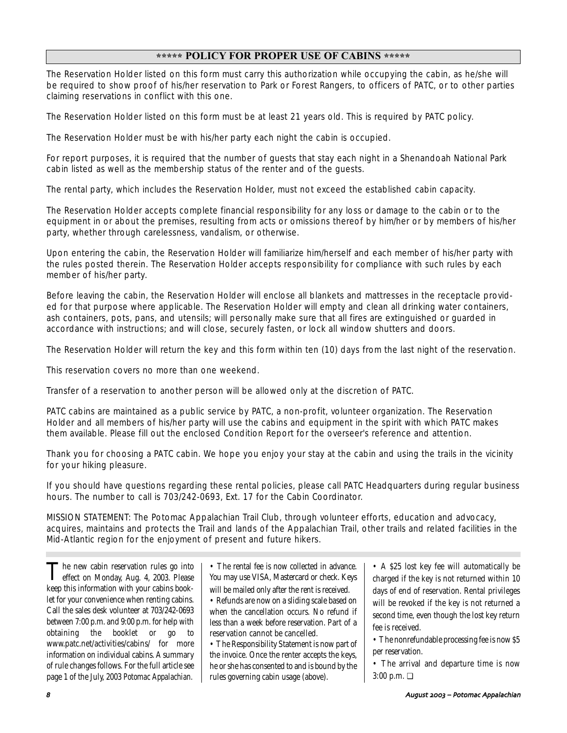# **\*\*\*\*\* POLICY FOR PROPER USE OF CABINS \*\*\*\*\***

The Reservation Holder listed on this form must carry this authorization while occupying the cabin, as he/she will be required to show proof of his/her reservation to Park or Forest Rangers, to officers of PATC, or to other parties claiming reservations in conflict with this one.

The Reservation Holder listed on this form must be at least 21 years old. This is required by PATC policy.

The Reservation Holder must be with his/her party each night the cabin is occupied.

For report purposes, it is required that the number of guests that stay each night in a Shenandoah National Park cabin listed as well as the membership status of the renter and of the guests.

The rental party, which includes the Reservation Holder, must not exceed the established cabin capacity.

The Reservation Holder accepts complete financial responsibility for any loss or damage to the cabin or to the equipment in or about the premises, resulting from acts or omissions thereof by him/her or by members of his/her party, whether through carelessness, vandalism, or otherwise.

Upon entering the cabin, the Reservation Holder will familiarize him/herself and each member of his/her party with the rules posted therein. The Reservation Holder accepts responsibility for compliance with such rules by each member of his/her party.

Before leaving the cabin, the Reservation Holder will enclose all blankets and mattresses in the receptacle provided for that purpose where applicable. The Reservation Holder will empty and clean all drinking water containers, ash containers, pots, pans, and utensils; will personally make sure that all fires are extinguished or guarded in accordance with instructions; and will close, securely fasten, or lock all window shutters and doors.

The Reservation Holder will return the key and this form within ten (10) days from the last night of the reservation.

This reservation covers no more than one weekend.

Transfer of a reservation to another person will be allowed only at the discretion of PATC.

PATC cabins are maintained as a public service by PATC, a non-profit, volunteer organization. The Reservation Holder and all members of his/her party will use the cabins and equipment in the spirit with which PATC makes them available. Please fill out the enclosed Condition Report for the overseer's reference and attention.

Thank you for choosing a PATC cabin. We hope you enjoy your stay at the cabin and using the trails in the vicinity for your hiking pleasure.

If you should have questions regarding these rental policies, please call PATC Headquarters during regular business hours. The number to call is 703/242-0693, Ext. 17 for the Cabin Coordinator.

MISSION STATEMENT: The Potomac Appalachian Trail Club, through volunteer efforts, education and advocacy, acquires, maintains and protects the Trail and lands of the Appalachian Trail, other trails and related facilities in the Mid-Atlantic region for the enjoyment of present and future hikers.

The new cabin reservation rules go into<br>effect on Monday, Aug. 4, 2003. Please keep this information with your cabins booklet for your convenience when renting cabins. Call the sales desk volunteer at 703/242-0693 between 7:00 p.m. and 9:00 p.m. for help with obtaining the booklet or go to www.patc.net/activities/cabins/ for more information on individual cabins. A summary of rule changes follows. For the full article see page 1 of the July, 2003 *Potomac Appalachian.*

• The rental fee is now collected in advance. You may use VISA, Mastercard or check. Keys will be mailed only after the rent is received.

• Refunds are now on a sliding scale based on when the cancellation occurs. No refund if less than a week before reservation. Part of a reservation cannot be cancelled.

• The Responsibility Statement is now part of the invoice. Once the renter accepts the keys, he or she has consented to and is bound by the rules governing cabin usage (above).

• A \$25 lost key fee will automatically be charged if the key is not returned within 10 days of end of reservation. Rental privileges will be revoked if the key is not returned a second time, even though the lost key return fee is received.

• The nonrefundable processing fee is now \$5 per reservation.

• The arrival and departure time is now 3:00 p.m. ❏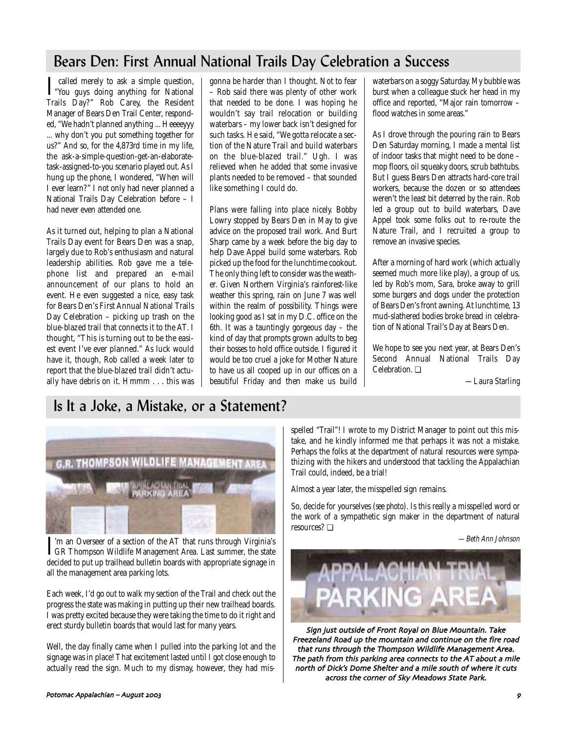# Bears Den: First Annual National Trails Day Celebration a Success

I called merely to ask a simple question,<br>"You guys doing anything for National" Trails Day?" Rob Carey, the Resident Manager of Bears Den Trail Center, responded, "We hadn't planned anything ... Heeeeyyy ... why don't you put something together for us?" And so, for the 4,873rd time in my life, the ask-a-simple-question-get-an-elaboratetask-assigned-to-you scenario played out. As I hung up the phone, I wondered, "When will I ever learn?" I not only had never planned a National Trails Day Celebration before – I had never even attended one.

As it turned out, helping to plan a National Trails Day event for Bears Den was a snap, largely due to Rob's enthusiasm and natural leadership abilities. Rob gave me a telephone list and prepared an e-mail announcement of our plans to hold an event. He even suggested a nice, easy task for Bears Den's First Annual National Trails Day Celebration – picking up trash on the blue-blazed trail that connects it to the AT. I thought, "This is turning out to be the easiest event I've ever planned." As luck would have it, though, Rob called a week later to report that the blue-blazed trail didn't actually have debris on it. Hmmm . . . this was gonna be harder than I thought. Not to fear – Rob said there was plenty of other work that needed to be done. I was hoping he wouldn't say trail relocation or building waterbars – my lower back isn't designed for such tasks. He said, "We gotta relocate a section of the Nature Trail and build waterbars on the blue-blazed trail." Ugh. I was relieved when he added that some invasive plants needed to be removed – that sounded like something I could do.

Plans were falling into place nicely. Bobby Lowry stopped by Bears Den in May to give advice on the proposed trail work. And Burt Sharp came by a week before the big day to help Dave Appel build some waterbars. Rob picked up the food for the lunchtime cookout. The only thing left to consider was the weather. Given Northern Virginia's rainforest-like weather this spring, rain on June 7 was well within the realm of possibility. Things were looking good as I sat in my D.C. office on the 6th. It was a tauntingly gorgeous day – the kind of day that prompts grown adults to beg their bosses to hold office outside. I figured it would be too cruel a joke for Mother Nature to have us all cooped up in our offices on a beautiful Friday and then make us build waterbars on a soggy Saturday. My bubble was burst when a colleague stuck her head in my office and reported, "Major rain tomorrow – flood watches in some areas."

As I drove through the pouring rain to Bears Den Saturday morning, I made a mental list of indoor tasks that might need to be done – mop floors, oil squeaky doors, scrub bathtubs. But I guess Bears Den attracts hard-core trail workers, because the dozen or so attendees weren't the least bit deterred by the rain. Rob led a group out to build waterbars, Dave Appel took some folks out to re-route the Nature Trail, and I recruited a group to remove an invasive species.

After a morning of hard work (which actually seemed much more like play), a group of us, led by Rob's mom, Sara, broke away to grill some burgers and dogs under the protection of Bears Den's front awning. At lunchtime, 13 mud-slathered bodies broke bread in celebration of National Trail's Day at Bears Den.

We hope to see you next year, at Bears Den's Second Annual National Trails Day Celebration. ❏

*—Laura Starling*

# Is It a Joke, a Mistake, or a Statement?



I'm an Overseer of a section of the AT that runs through Virginia's<br>GR Thompson Wildlife Management Area. Last summer, the state<br>decided to put up trailhead bulletin boards with appropriate signage in 'm an Overseer of a section of the AT that runs through Virginia's GR Thompson Wildlife Management Area. Last summer, the state all the management area parking lots.

Each week, I'd go out to walk my section of the Trail and check out the progress the state was making in putting up their new trailhead boards. I was pretty excited because they were taking the time to do it right and erect sturdy bulletin boards that would last for many years.

Well, the day finally came when I pulled into the parking lot and the signage was in place! That excitement lasted until I got close enough to actually read the sign. Much to my dismay, however, they had mis-

Potomac Appalachian – August !!" +

spelled "Trail"! I wrote to my District Manager to point out this mistake, and he kindly informed me that perhaps it was not a mistake. Perhaps the folks at the department of natural resources were sympathizing with the hikers and understood that tackling the Appalachian Trail could, indeed, be a trial!

Almost a year later, the misspelled sign remains.

So, decide for yourselves (*see photo*). Is this really a misspelled word or the work of a sympathetic sign maker in the department of natural resources? ❏

—Beth Ann Johnson



Sign just outside of Front Royal on Blue Mountain. Take Freezeland Road up the mountain and continue on the fire road that runs through the Thompson Wildlife Management Area The path from this parking area connects to the AT about a mile north of Dick's Dome Shelter and a mile south of where it cuts across the corner of Sky Meadows State Park.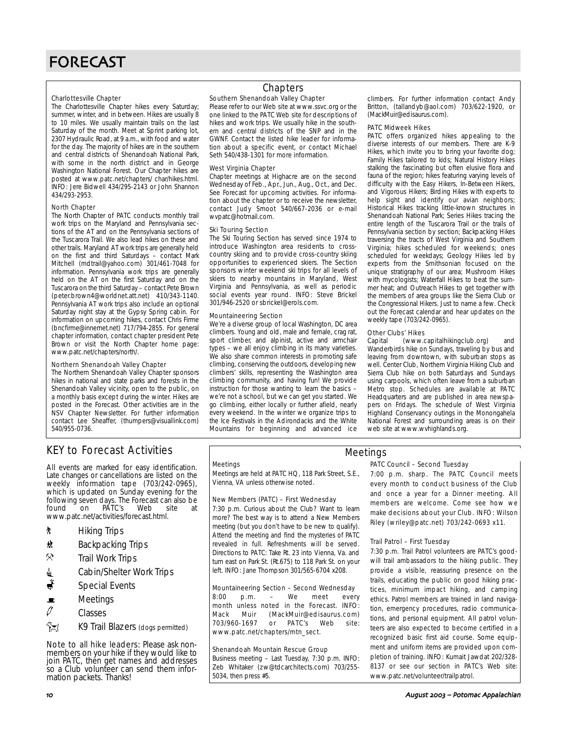#### Charlottesville Chapter

The Charlottesville Chapter hikes every Saturday; summer, winter, and in between. Hikes are usually 8 to 10 miles. We usually maintain trails on the last Saturday of the month. Meet at Sprint parking lot, 2307 Hydraulic Road, at 9 a.m., with food and water for the day. The majority of hikes are in the southern and central districts of Shenandoah National Park, with some in the north district and in George Washington National Forest. Our Chapter hikes are posted at www.patc.net/chapters/ char/hikes.html. INFO: Jere Bidwell 434/295-2143 or John Shannon 434/293-2953.

#### North Chapter

The North Chapter of PATC conducts monthly trail work trips on the Maryland and Pennsylvania sections of the AT and on the Pennsylvania sections of the Tuscarora Trail. We also lead hikes on these and other trails. Maryland AT work trips are generally held on the first and third Saturdays – contact Mark Mitchell (mdtrail@yahoo.com) 301/461-7048 for information. Pennsylvania work trips are generally held on the AT on the first Saturday and on the Tuscarora on the third Saturday – contact Pete Brown (peter.brown4@worldnet.att.net) 410/343-1140. Pennsylvania AT work trips also include an optional Saturday night stay at the Gypsy Spring cabin. For information on upcoming hikes, contact Chris Firme (bncfirme@innernet.net) 717/794-2855. For general chapter information, contact chapter president Pete Brown or visit the North Chapter home page: www.patc.net/chapters/north/.

#### Northern Shenandoah Valley Chapter

The Northern Shenandoah Valley Chapter sponsors hikes in national and state parks and forests in the Shenandoah Valley vicinity, open to the public, on a monthly basis except during the winter. Hikes are posted in the Forecast. Other activities are in the NSV Chapter Newsletter. For further information contact Lee Sheaffer, (thumpers@visuallink.com) 540/955-0736.

# **Chapters**

### Southern Shenandoah Valley Chapter

Please refer to our Web site at www.ssvc.org or the one linked to the PATC Web site for descriptions of hikes and work trips. We usually hike in the southern and central districts of the SNP and in the GWNF. Contact the listed hike leader for information about a specific event, or contact Michael Seth 540/438-1301 for more information.

#### West Virginia Chapter

Chapter meetings at Highacre are on the second Wednesday of Feb., Apr., Jun., Aug., Oct., and Dec. See Forecast for upcoming activities. For information about the chapter or to receive the newsletter, contact Judy Smoot 540/667-2036 or e-mail wvpatc@hotmail.com.

#### Ski Touring Section

The Ski Touring Section has served since 1974 to introduce Washington area residents to crosscountry skiing and to provide cross-country skiing opportunities to experienced skiers. The Section sponsors winter weekend ski trips for all levels of skiers to nearby mountains in Maryland, West Virginia and Pennsylvania, as well as periodic social events year round. INFO: Steve Brickel 301/946-2520 or sbrickel@erols.com.

#### Mountaineering Section

We're a diverse group of local Washington, DC area climbers. Young and old, male and female, crag rat, sport climber, and alpinist, active and armchair types – we all enjoy climbing in its many varieties. We also share common interests in promoting safe climbing, conserving the outdoors, developing new climbers' skills, representing the Washington area climbing community, and having fun! We provide instruction for those wanting to learn the basics – we're not a school, but we can get you started. We go climbing, either locally or further afield, nearly every weekend. In the winter we organize trips to the Ice Festivals in the Adirondacks and the White Mountains for beginning and advanced ice

climbers. For further information contact Andy Britton, (tallandyb@aol.com) 703/622-1920, or (MackMuir@edisaurus.com).

#### PATC Midweek Hikes

PATC offers organized hikes appealing to the diverse interests of our members. There are K-9 Hikes, which invite you to bring your favorite dog; Family Hikes tailored to kids; Natural History Hikes stalking the fascinating but often elusive flora and fauna of the region; hikes featuring varying levels of difficulty with the Easy Hikers, In-Between Hikers, and Vigorous Hikers; Birding Hikes with experts to help sight and identify our avian neighbors; Historical Hikes tracking little-known structures in Shenandoah National Park; Series Hikes tracing the entire length of the Tuscarora Trail or the trails of Pennsylvania section by section; Backpacking Hikes traversing the tracts of West Virginia and Southern Virginia; hikes scheduled for weekends; ones scheduled for weekdays; Geology Hikes led by experts from the Smithsonian focused on the unique stratigraphy of our area; Mushroom Hikes with mycologists; Waterfall Hikes to beat the summer heat; and Outreach Hikes to get together with the members of area groups like the Sierra Club or the Congressional Hikers. Just to name a few. Check out the Forecast calendar and hear updates on the weekly tape (703/242-0965).

#### Other Clubs' Hikes

Capital (www.capitalhikingclub.org) and Wanderbirds hike on Sundays, traveling by bus and leaving from downtown, with suburban stops as well. Center Club, Northern Virginia Hiking Club and Sierra Club hike on both Saturdays and Sundays using carpools, which often leave from a suburban Metro stop. Schedules are available at PATC Headquarters and are published in area newspapers on Fridays. The schedule of West Virginia Highland Conservancy outings in the Monongahela National Forest and surrounding areas is on their web site at www.wvhighlands.org.

# KEY to Forecast Activities

All events are marked for easy identification. Late changes or cancellations are listed on the weekly information tape (703/242-0965), which is updated on Sunday evening for the following seven days. The Forecast can also be<br>found on PATC's Web site at PATC's www.patc.net/activities/forecast.html.

- **\*** Hiking Trips
- **\*** Backpacking Trips
- $\mathcal{R}$  Trail Work Trips
- <u>i</u> Cabin/Shelter Work Trips
- Special Events
- $\blacksquare$  Meetings
- $\vartheta$  Classes
- **EX** K9 Trail Blazers (dogs permitted)

Note to all hike leaders: Please ask nonmembers on your hike if they would like to join PATC, then get names and addresses so a Club volunteer can send them information packets. Thanks!

#### Meetings

Meetings are held at PATC HQ, 118 Park Street, S.E., Vienna, VA unless otherwise noted.

#### New Members (PATC) – First Wednesday

7:30 p.m. Curious about the Club? Want to learn more? The best way is to attend a New Members meeting (but you don't have to be new to qualify). Attend the meeting and find the mysteries of PATC revealed in full. Refreshments will be served. Directions to PATC: Take Rt. 23 into Vienna, Va. and turn east on Park St. (Rt.675) to 118 Park St. on your left. INFO: Jane Thompson 301/565-6704 x208.

#### Mountaineering Section – Second Wednesday

8:00 p.m. – We meet every month unless noted in the Forecast. INFO: Mack Muir (MackMuir@edisaurus.com) 703/960-1697 or PATC's Web site: www.patc.net/chapters/mtn\_sect.

#### Shenandoah Mountain Rescue Group

Business meeting – Last Tuesday, 7:30 p.m. INFO: Zeb Whitaker (zw@tdcarchitects.com) 703/255- 5034, then press #5.

# Meetings

#### PATC Council – Second Tuesday

7:00 p.m. sharp. The PATC Council meets every month to conduct business of the Club and once a year for a Dinner meeting. All members are welcome. Come see how we make decisions about your Club. INFO: Wilson Riley (wriley@patc.net) 703/242-0693 x11.

#### Trail Patrol – First Tuesday

7:30 p.m. Trail Patrol volunteers are PATC's goodwill trail ambassadors to the hiking public. They provide a visible, reassuring presence on the trails, educating the public on good hiking practices, minimum impact hiking, and camping ethics. Patrol members are trained in land navigation, emergency procedures, radio communications, and personal equipment. All patrol volunteers are also expected to become certified in a recognized basic first aid course. Some equipment and uniform items are provided upon completion of training. INFO: Kumait Jawdat 202/328- 8137 or see our section in PATC's Web site: www.patc.net/volunteer/trailpatrol.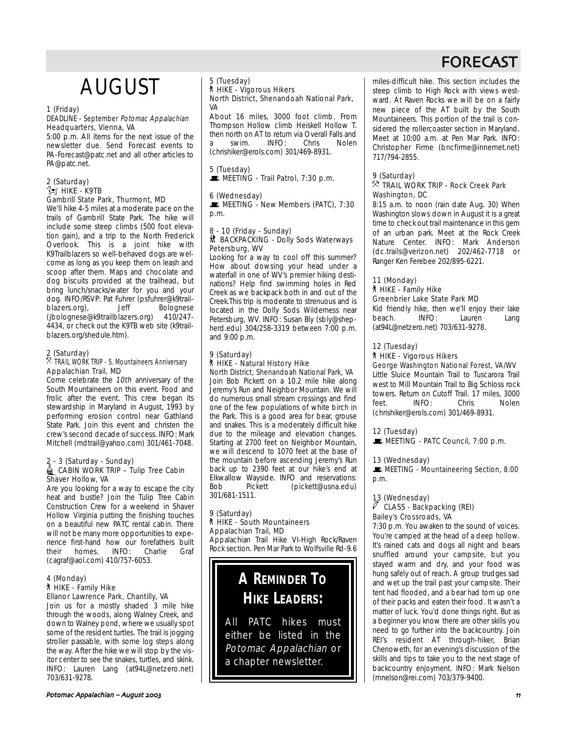# AUGUST

### 1 (Friday)

#### DEADLINE - September Potomac Appalachian Headquarters, Vienna, VA

5:00 p.m. All items for the next issue of the newsletter due. Send Forecast events to PA-Forecast@patc.net and all other articles to PA@patc.net.

#### 2 (Saturday)  $\approx$  Hike - K9TB Gambrill State Park, Thurmont, MD

We'll hike 4-5 miles at a moderate pace on the trails of Gambrill State Park. The hike will include some steep climbs (500 foot elevation gain), and a trip to the North Frederick Overlook. This is a joint hike with K9Trailblazers so well-behaved dogs are welcome as long as you keep them on leash and scoop after them. Maps and chocolate and dog biscuits provided at the trailhead, but bring lunch/snacks/water for you and your dog. INFO/RSVP: Pat Fuhrer (psfuhrer@k9trailblazers.org), Jeff Bolognese (jbolognese@k9trailblazers.org) 410/247- 4434, or check out the K9TB web site (k9trailblazers.org/shedule.htm).

### 2 (Saturday)

### $\%$  TRAIL WORK TRIP - S. Mountaineers Anniversary Appalachian Trail, MD

Come celebrate the 10th anniversary of the South Mountaineers on this event. Food and frolic after the event. This crew began its stewardship in Maryland in August, 1993 by performing erosion control near Gathland State Park. Join this event and christen the crew's second decade of success. INFO: Mark Mitchell (mdtrail@yahoo.com) 301/461-7048.

#### 2 - 3 (Saturday - Sunday) **△CABIN WORK TRIP – Tulip Tree Cabin**

# Shaver Hollow, VA

Are you looking for a way to escape the city heat and bustle? Join the Tulip Tree Cabin Construction Crew for a weekend in Shaver Hollow Virginia putting the finishing touches on a beautiful new PATC rental cabin. There will not be many more opportunities to experience first-hand how our forefathers built their homes. INFO: Charlie Graf (cagraf@aol.com) 410/757-6053.

### 4 (Monday) ` HIKE - Family Hike Ellanor Lawrence Park, Chantilly, VA

#### Join us for a mostly shaded 3 mile hike through the woods, along Walney Creek, and down to Walney pond, where we usually spot some of the resident turtles. The trail is jogging stroller passable, with some log steps along the way. After the hike we will stop by the visitor center to see the snakes, turtles, and skink. INFO: Lauren Lang (at94L@netzero.net) 703/631-9278.

#### 5 (Tuesday) ` HIKE - Vigorous Hikers North District, Shenandoah National Park, VA

About 16 miles, 3000 foot climb. From Thompson Hollow climb Heiskell Hollow T. then north on AT to return via Overall Falls and<br>a swim INFO: Chris Nolen a swim. INFO: Chris Nolen (chrishiker@erols.com) 301/469-8931.

# 5 (Tuesday)

MEETING - Trail Patrol, 7:30 p.m.

### 6 (Wednesday)

MEETING - New Members (PATC), 7:30 p.m.

#### 8 - 10 (Friday - Sunday) M BACKPACKING - Dolly Sods Waterways Petersburg, WV

Looking for a way to cool off this summer? How about dowsing your head under a waterfall in one of WV's premier hiking destinations? Help find swimming holes in Red Creek as we backpack both in and out of the Creek.This trip is moderate to strenuous and is located in the Dolly Sods Wilderness near Petersburg, WV. INFO: Susan Bly (sbly@shepherd.edu) 304/258-3319 between 7:00 p.m. and 9:00 p.m.

#### 9 (Saturday) ` HIKE - Natural History Hike North District, Shenandoah National Park, VA

Join Bob Pickett on a 10.2 mile hike along Jeremy's Run and Neighbor Mountain. We will do numerous small stream crossings and find one of the few populations of white birch in the Park. This is a good area for bear, grouse and snakes. This is a moderately difficult hike due to the mileage and elevation changes. Starting at 2700 feet on Neighbor Mountain, we will descend to 1070 feet at the base of the mountain before ascending Jeremy's Run back up to 2390 feet at our hike's end at Elkwallow Wayside. INFO and reservations: Bob Pickett (pickett@usna.edu) 301/681-1511.

### 9 (Saturday) ` HIKE - South Mountaineers Appalachian Trail, MD

Appalachian Trail Hike VI-High Rock/Raven Rock section. Pen Mar Park to Wolfsville Rd-9.6

# **A REMINDER TO HIKE LEADERS:**

All PATC hikes must either be listed in the Potomac Appalachian or a chapter newsletter.

miles-difficult hike. This section includes the steep climb to High Rock with views westward. At Raven Rocks we will be on a fairly new piece of the AT built by the South Mountaineers. This portion of the trail is considered the rollercoaster section in Maryland. Meet at 10:00 a.m. at Pen Mar Park. INFO: Christopher Firme (bncfirme@innernet.net) 717/794-2855.

# 9 (Saturday)

### $\%$  TRAIL WORK TRIP - Rock Creek Park Washington, DC

8:15 a.m. to noon (rain date Aug. 30) When Washington slows down in August it is a great time to check out trail maintenance in this gem of an urban park. Meet at the Rock Creek Nature Center. INFO: Mark Anderson (dc.trails@verizon.net) 202/462-7718 or Ranger Ken Ferebee 202/895-6221.

# 11 (Monday) ` HIKE - Family Hike

Greenbrier Lake State Park MD

Kid friendly hike, then we'll enjoy their lake beach. INFO: Lauren Lang (at94L@netzero.net) 703/631-9278.

### 12 (Tuesday)

` HIKE - Vigorous Hikers

# George Washington National Forest, VA/WV

Little Sluice Mountain Trail to Tuscarora Trail west to Mill Mountain Trail to Big Schloss rock towers. Return on Cutoff Trail. 17 miles, 3000 feet. INFO: Chris Nolen (chrishiker@erols.com) 301/469-8931.

#### 12 (Tuesday)

MEETING - PATC Council, 7:00 p.m.

#### 13 (Wednesday)

**WEETING - Mountaineering Section, 8:00** p.m.

### 13 (Wednesday) CLASS - Backpacking (REI) Bailey's Crossroads, VA

7:30 p.m. You awaken to the sound of voices. You're camped at the head of a deep hollow. It's rained cats and dogs all night and bears snuffled around your campsite, but you stayed warm and dry, and your food was hung safely out of reach. A group trudges sad and wet up the trail past your campsite. Their tent had flooded, and a bear had torn up one of their packs and eaten their food. It wasn't a matter of luck. You'd done things right. But as a beginner you know there are other skills you need to go further into the backcountry. Join REI's resident AT through-hiker, Brian Chenoweth, for an evening's discussion of the skills and tips to take you to the next stage of backcountry enjoyment. INFO: Mark Nelson (mnelson@rei.com) 703/379-9400.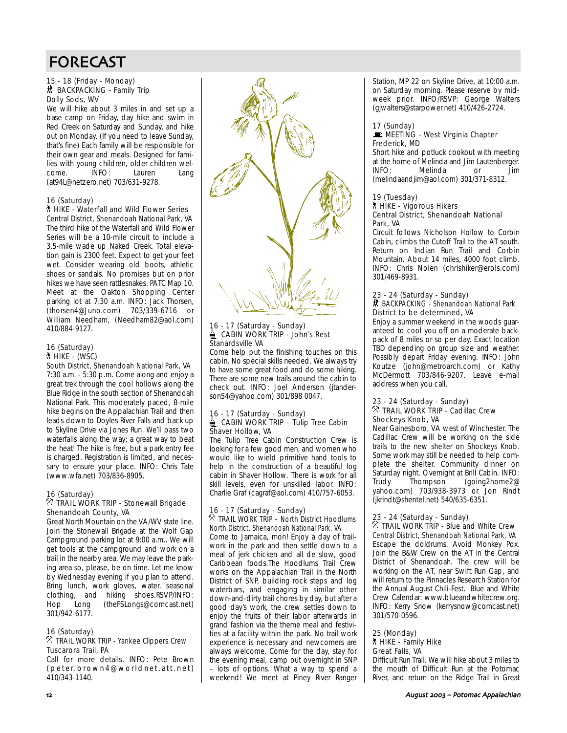#### 15 - 18 (Friday - Monday) **然 BACKPACKING - Family Trip** Dolly Sods, WV

We will hike about 3 miles in and set up a base camp on Friday, day hike and swim in Red Creek on Saturday and Sunday, and hike out on Monday. (If you need to leave Sunday, that's fine) Each family will be responsible for their own gear and meals. Designed for families with young children, older children welcome. INFO: Lauren Lang (at94L@netzero.net) 703/631-9278.

### 16 (Saturday)

#### ` HIKE - Waterfall and Wild Flower Series Central District, Shenandoah National Park, VA

The third hike of the Waterfall and Wild Flower Series will be a 10-mile circuit to include a 3.5-mile wade up Naked Creek. Total elevation gain is 2300 feet. Expect to get your feet wet. Consider wearing old boots, athletic shoes or sandals. No promises but on prior hikes we have seen rattlesnakes. PATC Map 10. Meet at the Oakton Shopping Center parking lot at 7:30 a.m. INFO: Jack Thorsen, (thorsen4@Juno.com) 703/339-6716 or William Needham, (Needham82@aol.com) 410/884-9127.

# 16 (Saturday) ` HIKE - (WSC)

South District, Shenandoah National Park, VA 7:30 a.m. - 5:30 p.m. Come along and enjoy a great trek through the cool hollows along the Blue Ridge in the south section of Shenandoah National Park. This moderately paced, 8-mile hike begins on the Appalachian Trail and then leads down to Doyles River Falls and back up to Skyline Drive via Jones Run. We'll pass two waterfalls along the way; a great way to beat the heat! The hike is free, but a park entry fee is charged. Registration is limited, and necessary to ensure your place. INFO: Chris Tate (www.wfa.net) 703/836-8905.

### 16 (Saturday)

# $\%$  TRAIL WORK TRIP - Stonewall Brigade Shenandoah County, VA

Great North Mountain on the VA/WV state line. Join the Stonewall Brigade at the Wolf Gap Campground parking lot at 9:00 a.m.. We will get tools at the campground and work on a trail in the nearby area. We may leave the parking area so, please, be on time. Let me know by Wednesday evening if you plan to attend. Bring lunch, work gloves, water, seasonal clothing, and hiking shoes.RSVP/INFO:<br>Hop Long (theFSLongs@comcast.net) Hop Long (theFSLongs@comcast.net) 301/942-6177.

### 16 (Saturday)

# $\%$  TRAIL WORK TRIP - Yankee Clippers Crew Tuscarora Trail, PA

Call for more details. INFO: Pete Brown (peter.brown4@worldnet.att.net) 410/343-1140.



# 16 - 17 (Saturday - Sunday)<br>16 CABIN WORK TRIP - John's Rest Stanardsville VA

Come help put the finishing touches on this cabin. No special skills needed. We always try to have some great food and do some hiking. There are some new trails around the cabin to check out. INFO: Joel Anderson (jtanderson54@yahoo.com) 301/898 0047.

# 16 - 17 (Saturday - Sunday)<br>16 - CABIN WORK TRIP – Tulip Tree Cabin Shaver Hollow, VA

The Tulip Tree Cabin Construction Crew is looking for a few good men, and women who would like to wield primitive hand tools to help in the construction of a beautiful log cabin in Shaver Hollow. There is work for all skill levels, even for unskilled labor. INFO: Charlie Graf (cagraf@aol.com) 410/757-6053.

#### 16 - 17 (Saturday - Sunday)  $\%$  TRAIL WORK TRIP – North District Hoodlums North District, Shenandoah National Park, VA

Come to Jamaica, mon! Enjoy a day of trailwork in the park and then settle down to a meal of jerk chicken and all de slow, good Caribbean foods.The Hoodlums Trail Crew works on the Appalachian Trail in the North District of SNP, building rock steps and log waterbars, and engaging in similar other down-and-dirty trail chores by day, but after a good day's work, the crew settles down to enjoy the fruits of their labor afterwards in grand fashion via the theme meal and festivities at a facility within the park. No trail work experience is necessary and newcomers are always welcome. Come for the day, stay for the evening meal, camp out overnight in SNP – lots of options. What a way to spend a weekend! We meet at Piney River Ranger Station, MP 22 on Skyline Drive, at 10:00 a.m. on Saturday morning. Please reserve by midweek prior. INFO/RSVP: George Walters (gjwalters@starpower.net) 410/426-2724.

### 17 (Sunday)

#### **MEETING - West Virginia Chapter** Frederick, MD

Short hike and potluck cookout with meeting at the home of Melinda and Jim Lautenberger. INFO: Melinda or Jim (melindaandjim@aol.com) 301/371-8312.

### 19 (Tuesday)

### ` HIKE - Vigorous Hikers Central District, Shenandoah National Park, VA

Circuit follows Nicholson Hollow to Corbin Cabin, climbs the Cutoff Trail to the AT south. Return on Indian Run Trail and Corbin Mountain. About 14 miles, 4000 foot climb. INFO: Chris Nolen (chrishiker@erols.com) 301/469-8931.

### 23 - 24 (Saturday - Sunday) 然 BACKPACKING - Shenandoah National Park District to be determined, VA

Enjoy a summer weekend in the woods guaranteed to cool you off on a moderate backpack of 8 miles or so per day. Exact location TBD depending on group size and weather. Possibly depart Friday evening. INFO: John Koutze (john@metroarch.com) or Kathy McDermott 703/846-9207. Leave e-mail address when you call.

### 23 - 24 (Saturday - Sunday)  $\%$  TRAIL WORK TRIP - Cadillac Crew Shockeys Knob, VA

Near Gainesboro, VA west of Winchester. The Cadillac Crew will be working on the side trails to the new shelter on Shockeys Knob. Some work may still be needed to help complete the shelter. Community dinner on Saturday night. Overnight at Brill Cabin. INFO: Trudy Thompson (going2home2@ yahoo.com) 703/938-3973 or Jon Rindt (jkrindt@shentel.net) 540/635-6351.

23 - 24 (Saturday - Sunday) . TRAIL WORK TRIP - Blue and White Crew Central District, Shenandoah National Park, VA Escape the doldrums. Avoid Monkey Pox. Join the B&W Crew on the AT in the Central District of Shenandoah. The crew will be working on the AT, near Swift Run Gap, and will return to the Pinnacles Research Station for the Annual August Chili-Fest. Blue and White Crew Calendar: www.blueandwhitecrew.org. INFO: Kerry Snow (kerrysnow@comcast.net) 301/570-0596.

25 (Monday) ` HIKE - Family Hike Great Falls, VA Difficult Run Trail. We will hike about 3 miles to the mouth of Difficult Run at the Potomac River, and return on the Ridge Trail in Great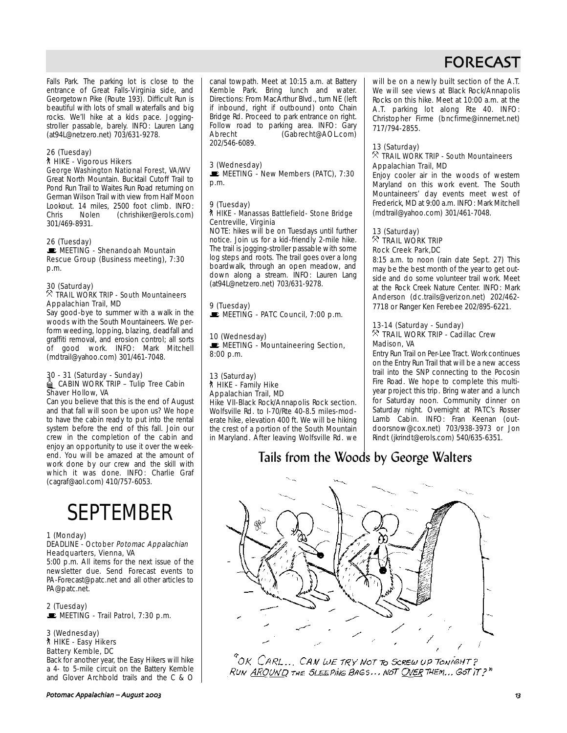Falls Park. The parking lot is close to the entrance of Great Falls-Virginia side, and Georgetown Pike (Route 193). Difficult Run is beautiful with lots of small waterfalls and big rocks. We'll hike at a kids pace. Joggingstroller passable, barely. INFO: Lauren Lang (at94L@netzero.net) 703/631-9278.

### 26 (Tuesday)

#### ` HIKE - Vigorous Hikers George Washington National Forest, VA/WV

Great North Mountain. Bucktail Cutoff Trail to Pond Run Trail to Waites Run Road returning on German Wilson Trail with view from Half Moon Lookout. 14 miles, 2500 foot climb. INFO:<br>Chris Nolen (chrishiker@erols.com) Chris Nolen (chrishiker@erols.com) 301/469-8931.

### 26 (Tuesday)

**E** MEETING - Shenandoah Mountain Rescue Group (Business meeting), 7:30 p.m.

#### 30 (Saturday)

### $\%$  TRAIL WORK TRIP - South Mountaineers Appalachian Trail, MD

Say good-bye to summer with a walk in the woods with the South Mountaineers. We perform weeding, lopping, blazing, deadfall and graffiti removal, and erosion control; all sorts of good work. INFO: Mark Mitchell (mdtrail@yahoo.com) 301/461-7048.

# 30 - 31 (Saturday - Sunday)<br>▄ CABIN WORK TRIP – Tulip Tree Cabin Shaver Hollow, VA

Can you believe that this is the end of August and that fall will soon be upon us? We hope to have the cabin ready to put into the rental system before the end of this fall. Join our crew in the completion of the cabin and enjoy an opportunity to use it over the weekend. You will be amazed at the amount of work done by our crew and the skill with which it was done. INFO: Charlie Graf (cagraf@aol.com) 410/757-6053.

# SEPTEMBER

#### 1 (Monday)

#### DEADLINE - October Potomac Appalachian Headquarters, Vienna, VA

5:00 p.m. All items for the next issue of the newsletter due. Send Forecast events to PA-Forecast@patc.net and all other articles to PA@patc.net.

2 (Tuesday)  $\blacksquare$  MEETING - Trail Patrol, 7:30 p.m.

3 (Wednesday) ` HIKE - Easy Hikers Battery Kemble, DC

Back for another year, the Easy Hikers will hike a 4- to 5-mile circuit on the Battery Kemble and Glover Archbold trails and the C & O canal towpath. Meet at 10:15 a.m. at Battery Kemble Park. Bring lunch and water. Directions: From MacArthur Blvd., turn NE (left if inbound, right if outbound) onto Chain Bridge Rd. Proceed to park entrance on right. Follow road to parking area. INFO: Gary Abrecht (Gabrecht@AOL.com) 202/546-6089.

#### 3 (Wednesday)

 $\blacksquare$  MEETING - New Members (PATC), 7:30 p.m.

# 9 (Tuesday)

# ` HIKE - Manassas Battlefield- Stone Bridge Centreville, Virginia

NOTE: hikes will be on Tuesdays until further notice. Join us for a kid-friendly 2-mile hike. The trail is jogging-stroller passable with some log steps and roots. The trail goes over a long boardwalk, through an open meadow, and down along a stream. INFO: Lauren Lang (at94L@netzero.net) 703/631-9278.

#### 9 (Tuesday)  $\blacksquare$  MEETING - PATC Council, 7:00 p.m.

10 (Wednesday)  $\blacksquare$  MEETING - Mountaineering Section, 8:00 p.m.

#### 13 (Saturday) ` HIKE - Family Hike Appalachian Trail, MD

Hike VII-Black Rock/Annapolis Rock section. Wolfsville Rd. to I-70/Rte 40-8.5 miles-moderate hike, elevation 400 ft. We will be hiking the crest of a portion of the South Mountain in Maryland. After leaving Wolfsville Rd. we will be on a newly built section of the A.T. We will see views at Black Rock/Annapolis Rocks on this hike. Meet at 10:00 a.m. at the A.T. parking lot along Rte 40. INFO: Christopher Firme (bncfirme@innernet.net) 717/794-2855.

#### 13 (Saturday)  $\%$  TRAIL WORK TRIP - South Mountaineers Appalachian Trail, MD

Enjoy cooler air in the woods of western Maryland on this work event. The South Mountaineers' day events meet west of Frederick, MD at 9:00 a.m. INFO: Mark Mitchell (mdtrail@yahoo.com) 301/461-7048.

### 13 (Saturday)  $\%$  trail work trip Rock Creek Park,DC

8:15 a.m. to noon (rain date Sept. 27) This may be the best month of the year to get outside and do some volunteer trail work. Meet at the Rock Creek Nature Center. INFO: Mark Anderson (dc.trails@verizon.net) 202/462- 7718 or Ranger Ken Ferebee 202/895-6221.

### 13-14 (Saturday - Sunday)  $\%$  TRAIL WORK TRIP - Cadillac Crew Madison, VA

Entry Run Trail on Per-Lee Tract. Work continues on the Entry Run Trail that will be a new access trail into the SNP connecting to the Pocosin Fire Road. We hope to complete this multiyear project this trip. Bring water and a lunch for Saturday noon. Community dinner on Saturday night. Overnight at PATC's Rosser Lamb Cabin. INFO: Fran Keenan (outdoorsnow@cox.net) 703/938-3973 or Jon Rindt (jkrindt@erols.com) 540/635-6351.

# Tails from the Woods by George Walters



"OK CARL... CAN WE TRY NOT TO SCREW UP TONIGHT? RUN AROUND THE SLEEPING BAGS... NOT OVER THEM... GOT IT?"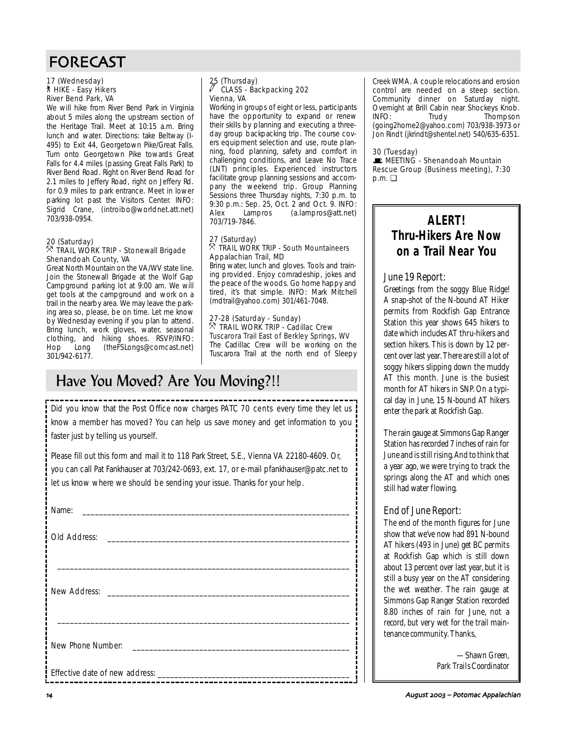### 17 (Wednesday) ` HIKE - Easy Hikers River Bend Park, VA

We will hike from River Bend Park in Virginia about 5 miles along the upstream section of the Heritage Trail. Meet at 10:15 a.m. Bring lunch and water. Directions: take Beltway (I-495) to Exit 44, Georgetown Pike/Great Falls. Turn onto Georgetown Pike towards Great Falls for 4.4 miles (passing Great Falls Park) to River Bend Road. Right on River Bend Road for 2.1 miles to Jeffery Road, right on Jeffery Rd. for 0.9 miles to park entrance. Meet in lower parking lot past the Visitors Center. INFO: Sigrid Crane, (introibo@worldnet.att.net) 703/938-0954.

#### 20 (Saturday)  $\%$  TRAIL WORK TRIP - Stonewall Brigade Shenandoah County, VA

Great North Mountain on the VA/WV state line. Join the Stonewall Brigade at the Wolf Gap Campground parking lot at 9:00 am. We will get tools at the campground and work on a trail in the nearby area. We may leave the parking area so, please, be on time. Let me know by Wednesday evening if you plan to attend. Bring lunch, work gloves, water, seasonal clothing, and hiking shoes. RSVP/INFO: Hop Long (theFSLongs@comcast.net) 301/942-6177.

# 25 (Thursday)<br>25 CLASS a CLASS - Backpacking 202 Vienna, VA

Working in groups of eight or less, participants have the opportunity to expand or renew their skills by planning and executing a threeday group backpacking trip. The course covers equipment selection and use, route planning, food planning, safety and comfort in challenging conditions, and Leave No Trace (LNT) principles. Experienced instructors facilitate group planning sessions and accompany the weekend trip. Group Planning Sessions three Thursday nights, 7:30 p.m. to 9:30 p.m.: Sep. 25, Oct. 2 and Oct. 9. INFO:<br>Alex Lampros (a.lampros@att.net) Alex Lampros (a.lampros@att.net) 703/719-7846.

#### 27 (Saturday)  $\%$  TRAIL WORK TRIP - South Mountaineers Appalachian Trail, MD

Bring water, lunch and gloves. Tools and training provided. Enjoy comradeship, jokes and the peace of the woods. Go home happy and tired, it's that simple. INFO: Mark Mitchell (mdtrail@yahoo.com) 301/461-7048.

27-28 (Saturday - Sunday)  $\%$  TRAIL WORK TRIP - Cadillac Crew Tuscarora Trail East of Berkley Springs, WV The Cadillac Crew will be working on the Tuscarora Trail at the north end of Sleepy

# Have You Moved? Are You Moving?!!

Did you know that the Post Office now charges PATC 70 cents every time they let us know a member has moved? You can help us save money and get information to you faster just by telling us yourself.

Please fill out this form and mail it to 118 Park Street, S.E., Vienna VA 22180-4609. Or, you can call Pat Fankhauser at 703/242-0693, ext. 17, or e-mail pfankhauser@patc.net to let us know where we should be sending your issue. Thanks for your help.

| Name:                                                                                                                                 |  |
|---------------------------------------------------------------------------------------------------------------------------------------|--|
| Old Address:<br><u> 1989 - Jan Bernard Bernard, mensental bernard bernard besteht als den besteht als der statistikel anderes der</u> |  |
|                                                                                                                                       |  |
|                                                                                                                                       |  |
|                                                                                                                                       |  |
| New Phone Number:<br><u> 1990 - Johann Barbara, martin a</u>                                                                          |  |
|                                                                                                                                       |  |
|                                                                                                                                       |  |

Creek WMA. A couple relocations and erosion control are needed on a steep section. Community dinner on Saturday night. Overnight at Brill Cabin near Shockeys Knob. INFO: Trudy Thompson (going2home2@yahoo.com) 703/938-3973 or Jon Rindt (jkrindt@shentel.net) 540/635-6351.

### 30 (Tuesday)

 $\mathbf{E}$  MEETING - Shenandoah Mountain Rescue Group (Business meeting), 7:30 p.m. ❏

# **ALERT! Thru-Hikers Are Now on a Trail Near You**

# June 19 Report:

Greetings from the soggy Blue Ridge! A snap-shot of the N-bound AT Hiker permits from Rockfish Gap Entrance Station this year shows 645 hikers to date which includes AT thru-hikers and section hikers. This is down by 12 percent over last year. There are still a lot of soggy hikers slipping down the muddy AT this month. June is the busiest month for AT hikers in SNP. On a typical day in June, 15 N-bound AT hikers enter the park at Rockfish Gap.

The rain gauge at Simmons Gap Ranger Station has recorded 7 inches of rain for June and is still rising. And to think that a year ago, we were trying to track the springs along the AT and which ones still had water flowing.

# End of June Report:

The end of the month figures for June show that we've now had 891 N-bound AT hikers (493 in June) get BC permits at Rockfish Gap which is still down about 13 percent over last year, but it is still a busy year on the AT considering the wet weather. The rain gauge at Simmons Gap Ranger Station recorded 8.80 inches of rain for June, not a record, but very wet for the trail maintenance community. Thanks,

> *—Shawn Green, Park Trails Coordinator*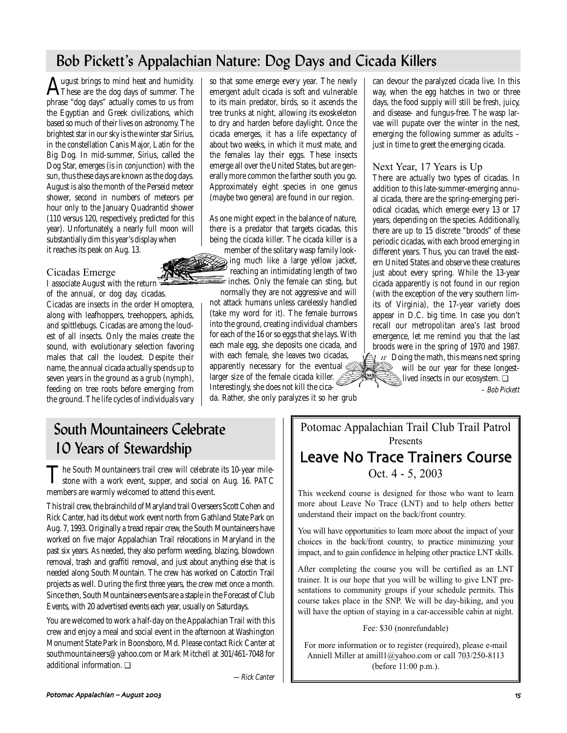# Bob Pickett's Appalachian Nature: Dog Days and Cicada Killers

August brings to mind heat and humidity.<br>These are the dog days of summer. The phrase "dog days" actually comes to us from the Egyptian and Greek civilizations, which based so much of their lives on astronomy. The brightest star in our sky is the winter star Sirius, in the constellation Canis Major, Latin for the Big Dog. In mid-summer, Sirius, called the Dog Star, emerges (is in conjunction) with the sun, thus these days are known as the dog days. August is also the month of the Perseid meteor shower, second in numbers of meteors per hour only to the January Quadrantid shower (110 versus 120, respectively, predicted for this year). Unfortunately, a nearly full moon will substantially dim this year's display when it reaches its peak on Aug. 13.

# Cicadas Emerge

I associate August with the return of the annual, or dog day, cicadas. Cicadas are insects in the order Homoptera, along with leafhoppers, treehoppers, aphids, and spittlebugs. Cicadas are among the loudest of all insects. Only the males create the sound, with evolutionary selection favoring males that call the loudest. Despite their name, the annual cicada actually spends up to seven years in the ground as a grub (nymph), feeding on tree roots before emerging from the ground. The life cycles of individuals vary so that some emerge every year. The newly emergent adult cicada is soft and vulnerable to its main predator, birds, so it ascends the tree trunks at night, allowing its exoskeleton to dry and harden before daylight. Once the cicada emerges, it has a life expectancy of about two weeks, in which it must mate, and the females lay their eggs. These insects emerge all over the United States, but are generally more common the farther south you go. Approximately eight species in one genus (maybe two genera) are found in our region.

As one might expect in the balance of nature, there is a predator that targets cicadas, this being the cicada killer. The cicada killer is a

member of the solitary wasp family looking much like a large yellow jacket, reaching an intimidating length of two  $\epsilon$  inches. Only the female can sting, but normally they are not aggressive and will

not attack humans unless carelessly handled (take my word for it). The female burrows into the ground, creating individual chambers for each of the 16 or so eggs that she lays. With each male egg, she deposits one cicada, and with each female, she leaves two cicadas, apparently necessary for the eventual larger size of the female cicada killer.

Interestingly, she does not kill the cicada. Rather, she only paralyzes it so her grub

can devour the paralyzed cicada live. In this way, when the egg hatches in two or three days, the food supply will still be fresh, juicy, and disease- and fungus-free. The wasp larvae will pupate over the winter in the nest, emerging the following summer as adults – just in time to greet the emerging cicada.

# Next Year, 17 Years is Up

There are actually two types of cicadas. In addition to this late-summer-emerging annual cicada, there are the spring-emerging periodical cicadas, which emerge every 13 or 17 years, depending on the species. Additionally, there are up to 15 discrete "broods" of these periodic cicadas, with each brood emerging in different years. Thus, you can travel the eastern United States and observe these creatures just about every spring. While the 13-year cicada apparently is not found in our region (with the exception of the very southern limits of Virginia), the 17-year variety does appear in D.C. big time. In case you don't recall our metropolitan area's last brood emergence, let me remind you that the last broods were in the spring of 1970 and 1987.  $\lambda$  *is* Doing the math, this means next spring will be our year for these longestlived insects in our ecosystem. ❏

– Bob Pickett

# South Mountaineers Celebrate 10 Years of Stewardship

The South Mountaineers trail crew will celebrate its 10-year mile-<br>stone with a work event, supper, and social on Aug. 16. PATC members are warmly welcomed to attend this event.

This trail crew, the brainchild of Maryland trail Overseers Scott Cohen and Rick Canter, had its debut work event north from Gathland State Park on Aug. 7, 1993. Originally a tread repair crew, the South Mountaineers have worked on five major Appalachian Trail relocations in Maryland in the past six years. As needed, they also perform weeding, blazing, blowdown removal, trash and graffiti removal, and just about anything else that is needed along South Mountain. The crew has worked on Catoctin Trail projects as well. During the first three years, the crew met once a month. Since then, South Mountaineers events are a staple in the Forecast of Club Events, with 20 advertised events each year, usually on Saturdays.

You are welcomed to work a half-day on the Appalachian Trail with this crew and enjoy a meal and social event in the afternoon at Washington Monument State Park in Boonsboro, Md. Please contact Rick Canter at southmountaineers@yahoo.com or Mark Mitchell at 301/461-7048 for additional information. ❏

—Rick Canter

Potomac Appalachian Trail Club Trail Patrol Presents Leave No Trace Trainers Course

Oct. 4 - 5, 2003

This weekend course is designed for those who want to learn more about Leave No Trace (LNT) and to help others better understand their impact on the back/front country.

You will have opportunities to learn more about the impact of your choices in the back/front country, to practice minimizing your impact, and to gain confidence in helping other practice LNT skills.

After completing the course you will be certified as an LNT trainer. It is our hope that you will be willing to give LNT presentations to community groups if your schedule permits. This course takes place in the SNP. We will be day-hiking, and you will have the option of staying in a car-accessible cabin at night.

Fee: \$30 (nonrefundable)

For more information or to register (required), please e-mail Anniell Miller at amill1@yahoo.com or call 703/250-8113 (before 11:00 p.m.).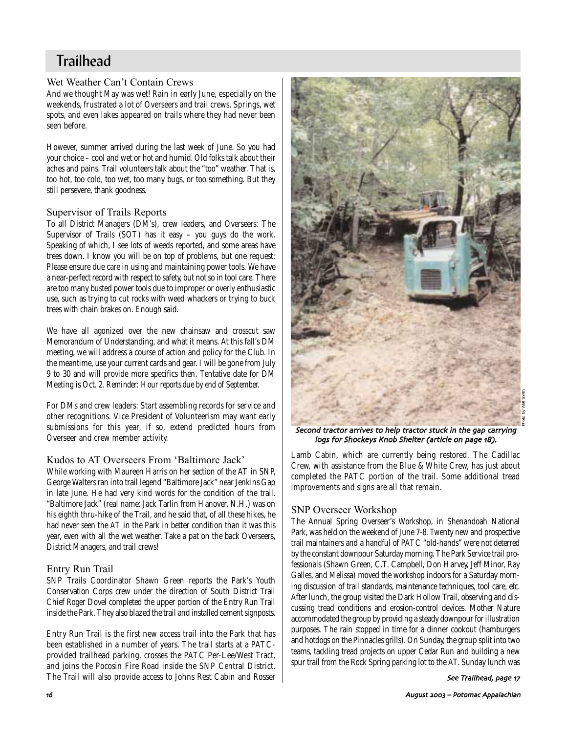# **Trailhead**

# Wet Weather Can't Contain Crews

And we thought May was wet! Rain in early June, especially on the weekends, frustrated a lot of Overseers and trail crews. Springs, wet spots, and even lakes appeared on trails where they had never been seen before.

However, summer arrived during the last week of June. So you had your choice – cool and wet or hot and humid. Old folks talk about their aches and pains. Trail volunteers talk about the "too" weather. That is, too hot, too cold, too wet, too many bugs, or too something. But they still persevere, thank goodness.

# Supervisor of Trails Reports

To all District Managers (DM's), crew leaders, and Overseers: The Supervisor of Trails (SOT) has it easy - you guys do the work. Speaking of which, I see lots of weeds reported, and some areas have trees down. I know you will be on top of problems, but one request: Please ensure due care in using and maintaining power tools. We have a near-perfect record with respect to safety, but not so in tool care. There are too many busted power tools due to improper or overly enthusiastic use, such as trying to cut rocks with weed whackers or trying to buck trees with chain brakes on. Enough said.

We have all agonized over the new chainsaw and crosscut saw Memorandum of Understanding, and what it means. At this fall's DM meeting, we will address a course of action and policy for the Club. In the meantime, use your current cards and gear. I will be gone from July 9 to 30 and will provide more specifics then. Tentative date for DM Meeting is Oct. 2. *Reminder: Hour reports due by end of September.*

For DMs and crew leaders: Start assembling records for service and other recognitions. Vice President of Volunteerism may want early submissions for this year, if so, extend predicted hours from Overseer and crew member activity.

# Kudos to AT Overseers From 'Baltimore Jack'

While working with Maureen Harris on her section of the AT in SNP, George Walters ran into trail legend "Baltimore Jack" near Jenkins Gap in late June. He had very kind words for the condition of the trail. "Baltimore Jack" (real name: Jack Tarlin from Hanover, N.H.) was on his eighth thru-hike of the Trail, and he said that, of all these hikes, he had never seen the AT in the Park in better condition than it was this year, even with all the wet weather. Take a pat on the back Overseers, District Managers, and trail crews!

# Entry Run Trail

SNP Trails Coordinator Shawn Green reports the Park's Youth Conservation Corps crew under the direction of South District Trail Chief Roger Dovel completed the upper portion of the Entry Run Trail inside the Park. They also blazed the trail and installed cement signposts.

Entry Run Trail is the first new access trail into the Park that has been established in a number of years. The trail starts at a PATCprovided trailhead parking, crosses the PATC Per-Lee/West Tract, and joins the Pocosin Fire Road inside the SNP Central District. The Trail will also provide access to Johns Rest Cabin and Rosser



Second tractor arrives to help tractor stuck in the gap carrying logs for Shockeys Knob Shelter (article on page 18).

Lamb Cabin, which are currently being restored. The Cadillac Crew, with assistance from the Blue & White Crew, has just about completed the PATC portion of the trail. Some additional tread improvements and signs are all that remain.

# SNP Overseer Workshop

The Annual Spring Overseer's Workshop, in Shenandoah National Park, was held on the weekend of June 7-8. Twenty new and prospective trail maintainers and a handful of PATC "old-hands" were not deterred by the constant downpour Saturday morning. The Park Service trail professionals (Shawn Green, C.T. Campbell, Don Harvey, Jeff Minor, Ray Galles, and Melissa) moved the workshop indoors for a Saturday morning discussion of trail standards, maintenance techniques, tool care, etc. After lunch, the group visited the Dark Hollow Trail, observing and discussing tread conditions and erosion-control devices. Mother Nature accommodated the group by providing a steady downpour for illustration purposes. The rain stopped in time for a dinner cookout (hamburgers and hotdogs on the Pinnacles grills). On Sunday, the group split into two teams, tackling tread projects on upper Cedar Run and building a new spur trail from the Rock Spring parking lot to the AT. Sunday lunch was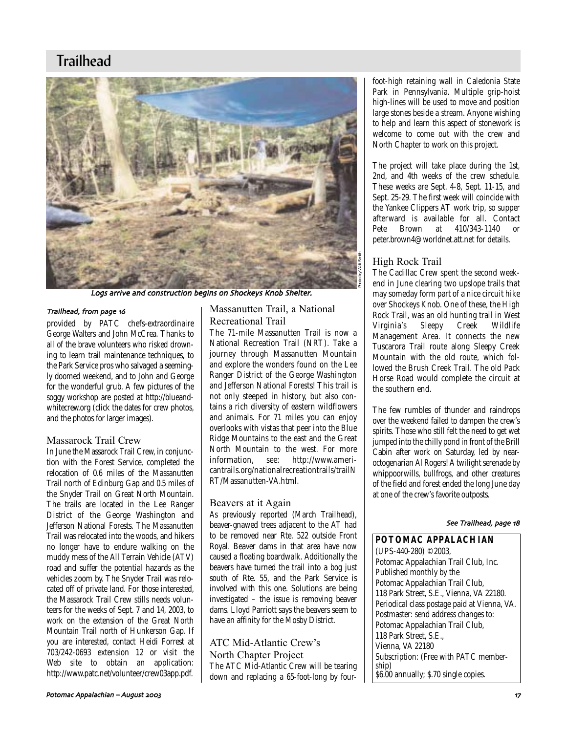# **Trailhead**



Logs arrive and construction begins on Shockeys Knob Shelter

### Trailhead, from page 16

provided by PATC chefs-extraordinaire George Walters and John McCrea. Thanks to all of the brave volunteers who risked drowning to learn trail maintenance techniques, to the Park Service pros who salvaged a seemingly doomed weekend, and to John and George for the wonderful grub. A few pictures of the soggy workshop are posted at http://blueandwhitecrew.org (click the dates for crew photos, and the photos for larger images).

# Massarock Trail Crew

In June the Massarock Trail Crew, in conjunction with the Forest Service, completed the relocation of 0.6 miles of the Massanutten Trail north of Edinburg Gap and 0.5 miles of the Snyder Trail on Great North Mountain. The trails are located in the Lee Ranger District of the George Washington and Jefferson National Forests. The Massanutten Trail was relocated into the woods, and hikers no longer have to endure walking on the muddy mess of the All Terrain Vehicle (ATV) road and suffer the potential hazards as the vehicles zoom by. The Snyder Trail was relocated off of private land. For those interested, the Massarock Trail Crew stills needs volunteers for the weeks of Sept. 7 and 14, 2003, to work on the extension of the Great North Mountain Trail north of Hunkerson Gap. If you are interested, contact Heidi Forrest at 703/242-0693 extension 12 or visit the Web site to obtain an application: http://www.patc.net/volunteer/crew03app.pdf.

# Massanutten Trail, a National Recreational Trail

The 71-mile Massanutten Trail is now a National Recreation Trail (NRT). Take a journey through Massanutten Mountain and explore the wonders found on the Lee Ranger District of the George Washington and Jefferson National Forests! This trail is not only steeped in history, but also contains a rich diversity of eastern wildflowers and animals. For 71 miles you can enjoy overlooks with vistas that peer into the Blue Ridge Mountains to the east and the Great North Mountain to the west. For more<br>information. see: http://www.ameriinformation, see: cantrails.org/nationalrecreationtrails/trailN RT/Massanutten-VA.html.

# Beavers at it Again

As previously reported (March Trailhead), beaver-gnawed trees adjacent to the AT had to be removed near Rte. 522 outside Front Royal. Beaver dams in that area have now caused a floating boardwalk. Additionally the beavers have turned the trail into a bog just south of Rte. 55, and the Park Service is involved with this one. Solutions are being investigated – the issue is removing beaver dams. Lloyd Parriott says the beavers seem to have an affinity for the Mosby District.

# ATC Mid-Atlantic Crew's North Chapter Project The ATC Mid-Atlantic Crew will be tearing down and replacing a 65-foot-long by four-

foot-high retaining wall in Caledonia State Park in Pennsylvania. Multiple grip-hoist high-lines will be used to move and position large stones beside a stream. Anyone wishing to help and learn this aspect of stonework is welcome to come out with the crew and North Chapter to work on this project.

The project will take place during the 1st, 2nd, and 4th weeks of the crew schedule. These weeks are Sept. 4-8, Sept. 11-15, and Sept. 25-29. The first week will coincide with the Yankee Clippers AT work trip, so supper afterward is available for all. Contact<br>Pete Brown at 410/343-1140 or Pete Brown at 410/343-1140 or peter.brown4@worldnet.att.net for details.

# High Rock Trail

The Cadillac Crew spent the second weekend in June clearing two upslope trails that may someday form part of a nice circuit hike over Shockeys Knob. One of these, the High Rock Trail, was an old hunting trail in West Virginia's Sleepy Creek Wildlife Management Area. It connects the new Tuscarora Trail route along Sleepy Creek Mountain with the old route, which followed the Brush Creek Trail. The old Pack Horse Road would complete the circuit at the southern end.

The few rumbles of thunder and raindrops over the weekend failed to dampen the crew's spirits. Those who still felt the need to get wet jumped into the chilly pond in front of the Brill Cabin after work on Saturday, led by nearoctogenarian Al Rogers! A twilight serenade by whippoorwills, bullfrogs, and other creatures of the field and forest ended the long June day at one of the crew's favorite outposts.

### See Trailhead, page 18

**POTOMAC APPALACHIAN** (UPS-440-280) ©2003, Potomac Appalachian Trail Club, Inc. Published monthly by the Potomac Appalachian Trail Club, 118 Park Street, S.E., Vienna, VA 22180. Periodical class postage paid at Vienna, VA. Postmaster: send address changes to: Potomac Appalachian Trail Club, 118 Park Street, S.E., Vienna, VA 22180 Subscription: (Free with PATC membership) \$6.00 annually; \$.70 single copies.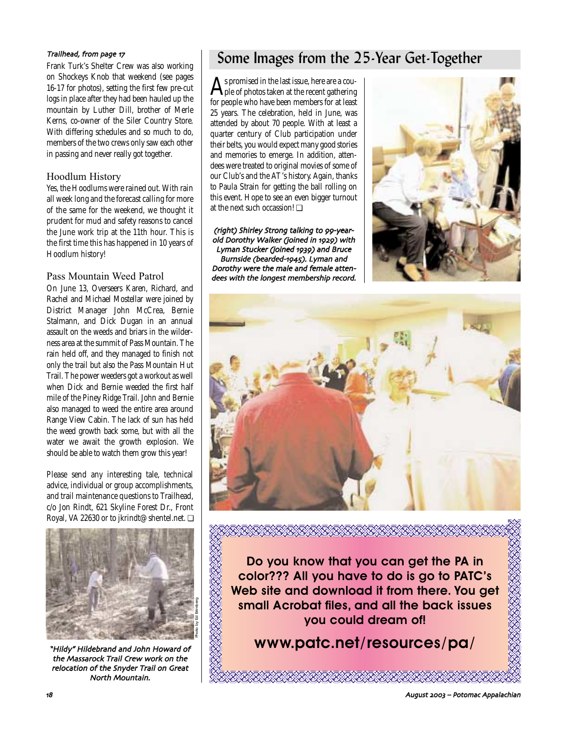Frank Turk's Shelter Crew was also working on Shockeys Knob that weekend (see pages 16-17 for photos), setting the first few pre-cut logs in place after they had been hauled up the mountain by Luther Dill, brother of Merle Kerns, co-owner of the Siler Country Store. With differing schedules and so much to do, members of the two crews only saw each other in passing and never really got together.

# Hoodlum History

Yes, the Hoodlums were rained out. With rain all week long and the forecast calling for more of the same for the weekend, we thought it prudent for mud and safety reasons to cancel the June work trip at the 11th hour. This is the first time this has happened in 10 years of Hoodlum history!

# Pass Mountain Weed Patrol

On June 13, Overseers Karen, Richard, and Rachel and Michael Mostellar were joined by District Manager John McCrea, Bernie Stalmann, and Dick Dugan in an annual assault on the weeds and briars in the wilderness area at the summit of Pass Mountain. The rain held off, and they managed to finish not only the trail but also the Pass Mountain Hut Trail. The power weeders got a workout as well when Dick and Bernie weeded the first half mile of the Piney Ridge Trail. John and Bernie also managed to weed the entire area around Range View Cabin. The lack of sun has held the weed growth back some, but with all the water we await the growth explosion. We should be able to watch them grow this year!

Please send any interesting tale, technical advice, individual or group accomplishments, and trail maintenance questions to Trailhead, c/o Jon Rindt, 621 Skyline Forest Dr., Front Royal, VA 22630 or to jkrindt@shentel.net. ❏



"Hildy" Hildebrand and John Howard of the Massarock Trail Crew work on the relocation of the Snyder Trail on Great North Mountain

# Trailhead, from page 17<br>Frailhead, from page 17<br>Frank Turk's Shelter Crow was also working

As promised in the last issue, here are a cou-<br>ple of photos taken at the recent gathering for people who have been members for at least 25 years. The celebration, held in June, was attended by about 70 people. With at least a quarter century of Club participation under their belts, you would expect many good stories and memories to emerge. In addition, attendees were treated to original movies of some of our Club's and the AT's history. Again, thanks to Paula Strain for getting the ball rolling on this event. Hope to see an even bigger turnout at the next such occassion! ❏

(right) Shirley Strong talking to 99-yearold Dorothy Walker (joined in 1929) with Lyman Stucker (joined 1939) and Bruce Burnside (bearded-1945). Lyman and Dorothy were the male and female attendees with the longest membership record





**Do you know that you can get the** *PA* **in color??? All you have to do is go to PATC's Web site and download it from there. You get small Acrobat files, and all the back issues you could dream of!**

*www.patc.net/resources/pa/*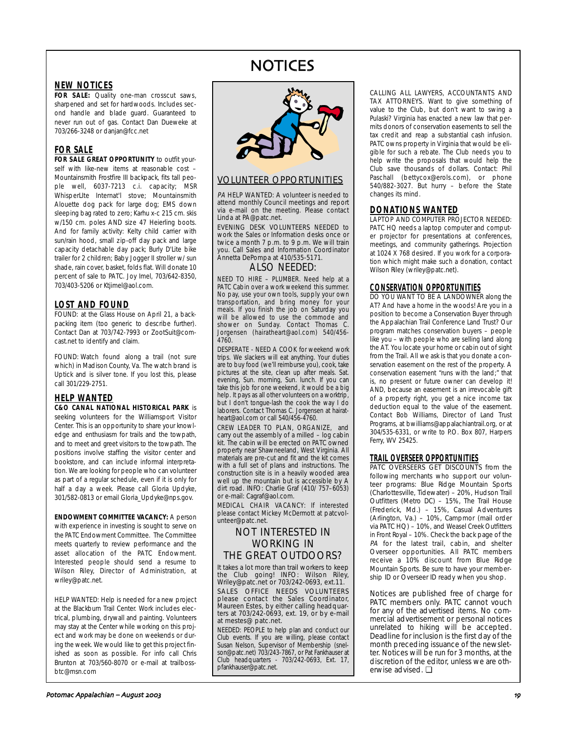# NOTICES

# **NEW NOTICES**

FOR SALE: Quality one-man crosscut saws, sharpened and set for hardwoods. Includes second handle and blade guard. Guaranteed to never run out of gas. Contact Dan Dueweke at 703/266-3248 or danjan@fcc.net

# **FOR SALE**

**FOR SALE GREAT OPPORTUNITY** to outfit yourself with like-new items at reasonable cost – Mountainsmith Frostfire III backpack, fits tall people well, 6037-7213 c.i. capacity; MSR WhisperLIte Internat'l stove; Mountainsmith Alouette dog pack for large dog; EMS down sleeping bag rated to zero; Karhu x-c 215 cm. skis w/150 cm. poles AND size 47 Heierling boots. And for family activity: Kelty child carrier with sun/rain hood, small zip-off day pack and large capacity detachable day pack; Burly D'Lite bike trailer for 2 children; Baby Jogger II stroller w/ sun shade, rain cover, basket, folds flat. Will donate 10 percent of sale to PATC. Joy Imel, 703/642-8350, 703/403-5206 or Ktjimel@aol.com.

### **LOST AND FOUND**

FOUND: at the Glass House on April 21, a backpacking item (too generic to describe further). Contact Dan at 703/742-7993 or ZootSuit@comcast.net to identify and claim.

FOUND: Watch found along a trail (not sure which) in Madison County, Va. The watch brand is Uptick and is silver tone. If you lost this, please call 301/229-2751.

# **HELP WANTED**

**C&O CANAL NATIONAL HISTORICAL PARK** is seeking volunteers for the Williamsport Visitor Center. This is an opportunity to share your knowledge and enthusiasm for trails and the towpath, and to meet and greet visitors to the towpath. The positions involve staffing the visitor center and bookstore, and can include informal interpretation. We are looking for people who can volunteer as part of a regular schedule, even if it is only for half a day a week. Please call Gloria Updyke, 301/582-0813 or email Gloria\_Updyke@nps.gov.

**ENDOWMENT COMMITTEE VACANCY:** A person with experience in investing is sought to serve on the PATC Endowment Committee. The Committee meets quarterly to review performance and the asset allocation of the PATC Endowment. Interested people should send a resume to Wilson Riley, Director of Administration, at wriley@patc.net.

HELP WANTED: Help is needed for a new project at the Blackburn Trail Center. Work includes electrical, plumbing, drywall and painting. Volunteers may stay at the Center while working on this project and work may be done on weekends or during the week. We would like to get this project finished as soon as possible. For info call Chris Brunton at 703/560-8070 or e-mail at trailbossbtc@msn.com



# VOLUNTEER OPPORTUNITIES

PA HELP WANTED: A volunteer is needed to attend monthly Council meetings and report via e-mail on the meeting. Please contact Linda at PA@patc.net.

EVENING DESK VOLUNTEERS NEEDED to work the Sales or Information desks once or twice a month 7 p.m. to 9 p.m. We will train you. Call Sales and Information Coordinator Annetta DePompa at 410/535-5171.

# ALSO NEEDED:

NEED TO HIRE – PLUMBER. Need help at a PATC Cabin over a work weekend this summer. No pay, use your own tools, supply your own transportation, and bring money for your meals. If you finish the job on Saturday you will be allowed to use the commode and shower on Sunday. Contact Thomas C. Jorgensen (hairatheart@aol.com) 540/456- 4760.

DESPERATE - NEED A COOK for weekend work trips. We slackers will eat anything. Your duties are to buy food (we'll reimburse you), cook, take pictures at the site, clean up after meals. Sat. evening, Sun. morning, Sun. lunch. If you can take this job for one weekend, it would be a big help. It pays as all other volunteers on a worktrip, but I don't tongue-lash the cook the way I do laborers. Contact Thomas C. Jorgensen at hairatheart@aol.com or call 540/456-4760.

CREW LEADER TO PLAN, ORGANIZE, and carry out the assembly of a milled – log cabin kit. The cabin will be erected on PATC owned property near Shawneeland, West Virginia. All materials are pre-cut and fit and the kit comes with a full set of plans and instructions. The construction site is in a heavily wooded area well up the mountain but is accessible by A dirt road. INFO: Charlie Graf (410/ 757–6053) or e-mail: Cagraf@aol.com.

MEDICAL CHAIR VACANCY: If interested please contact Mickey McDermott at patcvolunteer@patc.net.

# NOT INTERESTED IN WORKING IN THE GREAT OUTDOORS?

It takes a lot more than trail workers to keep the Club going! INFO: Wilson Riley, Wriley@patc.net or 703/242-0693, ext.11.

SALES OFFICE NEEDS VOLUNTEERS please contact the Sales Coordinator, Maureen Estes, by either calling headquarters at 703/242-0693, ext. 19, or by e-mail at mestes@ patc.net.

NEEDED: PEOPLE to help plan and conduct our Club events. If you are willing, please contact Susan Nelson, Supervisor of Membership (snelson@patc.net) 703/243-7867, or Pat Fankhauser at Club headquarters - 703/242-0693, Ext. 17, pfankhauser@patc.net.

CALLING ALL LAWYERS, ACCOUNTANTS AND TAX ATTORNEYS. Want to give something of value to the Club, but don't want to swing a Pulaski? Virginia has enacted a new law that permits donors of conservation easements to sell the tax credit and reap a substantial cash infusion. PATC owns property in Virginia that would be eligible for such a rebate. The Club needs you to help write the proposals that would help the Club save thousands of dollars. Contact: Phil Paschall (bettycox@erols.com), or phone 540/882-3027. But hurry – before the State changes its mind.

# **DONATIONS WANTED**

LAPTOP AND COMPUTER PROJECTOR NEEDED: PATC HQ needs a laptop computer and computer projector for presentations at conferences, meetings, and community gatherings. Projection at 1024 X 768 desired. If you work for a corporation which might make such a donation, contact Wilson Riley (wriley@patc.net).

# **CONSERVATION OPPORTUNITIES**

DO YOU WANT TO BE A LANDOWNER along the AT? And have a home in the woods! Are you in a position to become a Conservation Buyer through the Appalachian Trail Conference Land Trust? Our program matches conservation buyers – people like you – with people who are selling land along the AT. You locate your home or cabin out of sight from the Trail. All we ask is that you donate a conservation easement on the rest of the property. A conservation easement "runs with the land;" that is, no present or future owner can develop it! AND, because an easement is an irrevocable gift of a property right, you get a nice income tax deduction equal to the value of the easement. Contact Bob Williams, Director of Land Trust Programs, at bwilliams@appalachiantrail.org, or at 304/535-6331, or write to P.O. Box 807, Harpers Ferry, WV 25425.

# **TRAIL OVERSEER OPPORTUNITIES**

PATC OVERSEERS GET DISCOUNTS from the following merchants who support our volunteer programs: Blue Ridge Mountain Sports (Charlottesville, Tidewater) – 20%, Hudson Trail Outfitters (Metro DC) – 15%, The Trail House (Frederick, Md.) – 15%, Casual Adventures (Arlington, Va.) – 10%, Campmor (mail order via PATC HQ) – 10%, and Weasel Creek Outfitters in Front Royal – 10%. Check the back page of the PA for the latest trail, cabin, and shelter Overseer opportunities. All PATC members receive a 10% discount from Blue Ridge Mountain Sports. Be sure to have your membership ID or Overseer ID ready when you shop.

Notices are published free of charge for PATC members only. PATC cannot vouch for any of the advertised items. No commercial advertisement or personal notices unrelated to hiking will be accepted. Deadline for inclusion is the first day of the month preceding issuance of the newsletter. Notices will be run for 3 months, at the discretion of the editor, unless we are otherwise advised. ❏